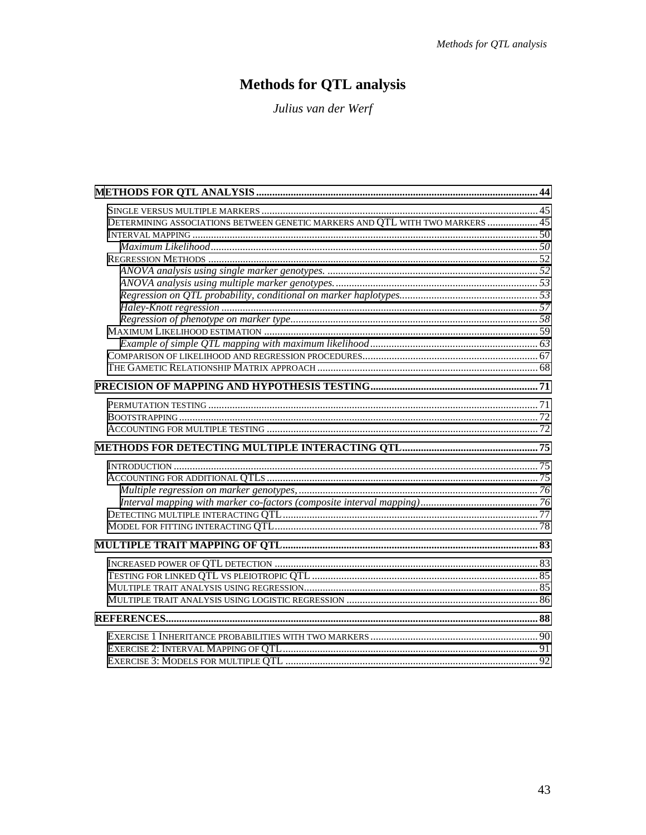## Methods for QTL analysis

Julius van der Werf

| DETERMINING ASSOCIATIONS BETWEEN GENETIC MARKERS AND QTL WITH TWO MARKERS  45 |  |
|-------------------------------------------------------------------------------|--|
|                                                                               |  |
|                                                                               |  |
|                                                                               |  |
|                                                                               |  |
|                                                                               |  |
|                                                                               |  |
|                                                                               |  |
|                                                                               |  |
|                                                                               |  |
|                                                                               |  |
|                                                                               |  |
|                                                                               |  |
|                                                                               |  |
|                                                                               |  |
|                                                                               |  |
|                                                                               |  |
|                                                                               |  |
|                                                                               |  |
|                                                                               |  |
|                                                                               |  |
|                                                                               |  |
|                                                                               |  |
|                                                                               |  |
|                                                                               |  |
|                                                                               |  |
|                                                                               |  |
|                                                                               |  |
|                                                                               |  |
|                                                                               |  |
|                                                                               |  |
|                                                                               |  |
|                                                                               |  |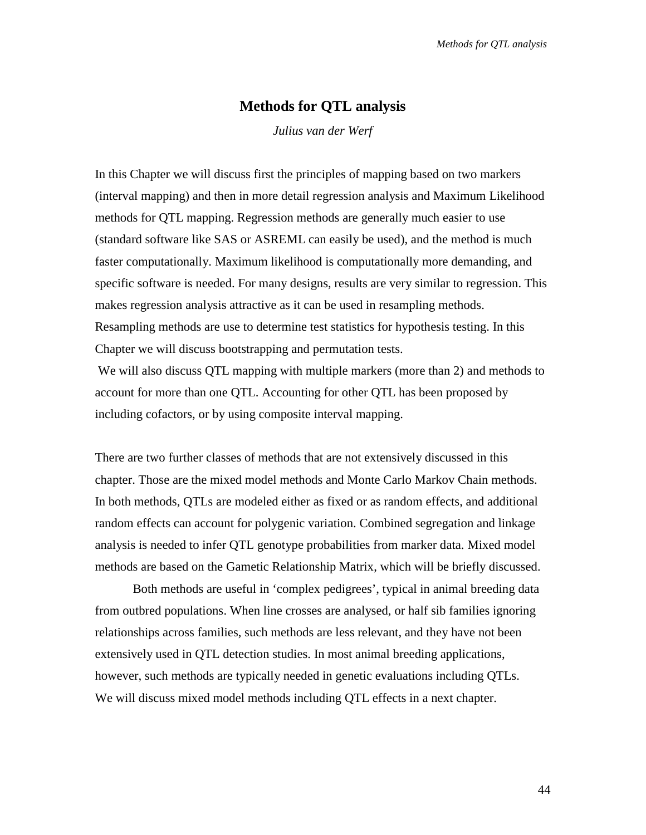## **Methods for QTL analysis**

*Julius van der Werf* 

<span id="page-1-0"></span>In this Chapter we will discuss first the principles of mapping based on two markers (interval mapping) and then in more detail regression analysis and Maximum Likelihood methods for QTL mapping. Regression methods are generally much easier to use (standard software like SAS or ASREML can easily be used), and the method is much faster computationally. Maximum likelihood is computationally more demanding, and specific software is needed. For many designs, results are very similar to regression. This makes regression analysis attractive as it can be used in resampling methods. Resampling methods are use to determine test statistics for hypothesis testing. In this Chapter we will discuss bootstrapping and permutation tests.

 We will also discuss QTL mapping with multiple markers (more than 2) and methods to account for more than one QTL. Accounting for other QTL has been proposed by including cofactors, or by using composite interval mapping.

There are two further classes of methods that are not extensively discussed in this chapter. Those are the mixed model methods and Monte Carlo Markov Chain methods. In both methods, QTLs are modeled either as fixed or as random effects, and additional random effects can account for polygenic variation. Combined segregation and linkage analysis is needed to infer QTL genotype probabilities from marker data. Mixed model methods are based on the Gametic Relationship Matrix, which will be briefly discussed.

Both methods are useful in 'complex pedigrees', typical in animal breeding data from outbred populations. When line crosses are analysed, or half sib families ignoring relationships across families, such methods are less relevant, and they have not been extensively used in QTL detection studies. In most animal breeding applications, however, such methods are typically needed in genetic evaluations including QTLs. We will discuss mixed model methods including QTL effects in a next chapter.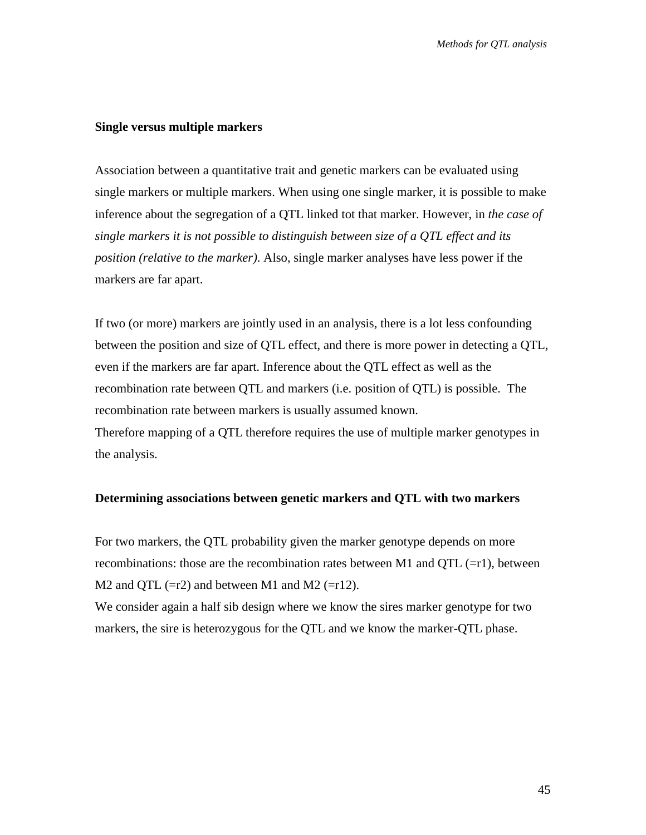#### <span id="page-2-0"></span>**Single versus multiple markers**

Association between a quantitative trait and genetic markers can be evaluated using single markers or multiple markers. When using one single marker, it is possible to make inference about the segregation of a QTL linked tot that marker. However, in *the case of single markers it is not possible to distinguish between size of a QTL effect and its position (relative to the marker)*. Also, single marker analyses have less power if the markers are far apart.

If two (or more) markers are jointly used in an analysis, there is a lot less confounding between the position and size of QTL effect, and there is more power in detecting a QTL, even if the markers are far apart. Inference about the QTL effect as well as the recombination rate between QTL and markers (i.e. position of QTL) is possible. The recombination rate between markers is usually assumed known. Therefore mapping of a QTL therefore requires the use of multiple marker genotypes in the analysis.

#### **Determining associations between genetic markers and QTL with two markers**

For two markers, the QTL probability given the marker genotype depends on more recombinations: those are the recombination rates between M1 and QTL  $(=r1)$ , between M2 and QTL  $(=r2)$  and between M1 and M2  $(=r12)$ .

We consider again a half sib design where we know the sires marker genotype for two markers, the sire is heterozygous for the QTL and we know the marker-QTL phase.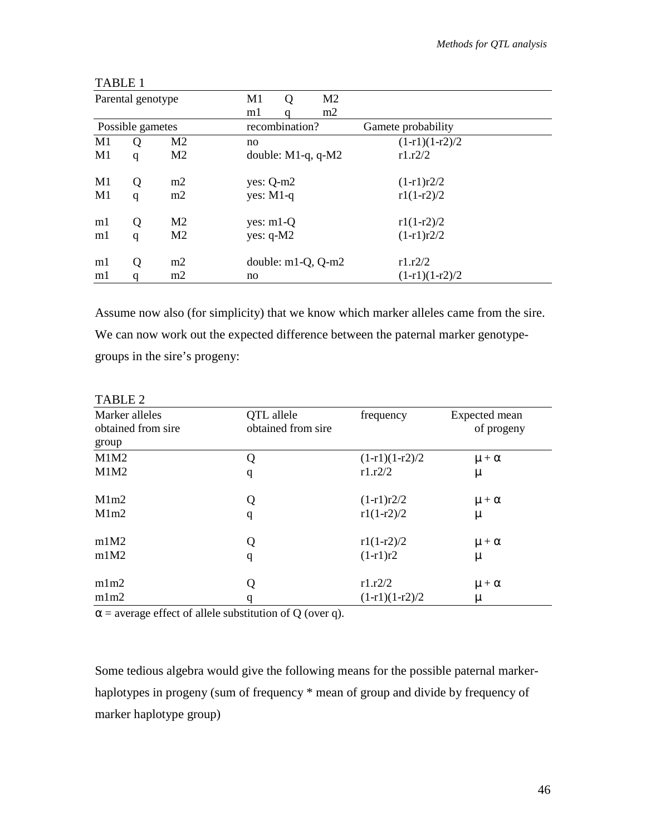| <b>TABLE 1</b>    |                  |                |                           |                    |  |
|-------------------|------------------|----------------|---------------------------|--------------------|--|
| Parental genotype |                  |                | M <sub>2</sub><br>M1<br>Q |                    |  |
|                   |                  |                | m2<br>m1                  |                    |  |
|                   | Possible gametes |                | recombination?            | Gamete probability |  |
| M1                | Q                | M <sub>2</sub> | no                        | $(1-r1)(1-r2)/2$   |  |
| M1                | q                | M <sub>2</sub> | double: $M1-q$ , q- $M2$  | r1.r2/2            |  |
| M1                | Q                | m2             | yes: $Q-m2$               | $(1-r1)r2/2$       |  |
| M1                | q                | m2             | yes: $M1-q$               | $r1(1-r2)/2$       |  |
| m1                | Q                | M <sub>2</sub> | yes: $m1-Q$               | $r1(1-r2)/2$       |  |
| m1                | q                | M <sub>2</sub> | yes: $q-M2$               | $(1-r1)r2/2$       |  |
| m1                | Q                | m2             | double: $m1-Q$ , $Q-m2$   | r1.r2/2            |  |
| m1                | q                | m2             | no                        | $(1-r1)(1-r2)/2$   |  |

Assume now also (for simplicity) that we know which marker alleles came from the sire. We can now work out the expected difference between the paternal marker genotypegroups in the sire's progeny:

| <b>TABLE 2</b>                                |                                  |                  |                             |
|-----------------------------------------------|----------------------------------|------------------|-----------------------------|
| Marker alleles<br>obtained from sire<br>group | QTL allele<br>obtained from sire | frequency        | Expected mean<br>of progeny |
| M1M2                                          | Q                                | $(1-r1)(1-r2)/2$ | $\mu + \alpha$              |
| M1M2                                          | q                                | r1.r2/2          | μ                           |
| M1m2                                          | Q                                | $(1-r1)r2/2$     | $\mu + \alpha$              |
| M1m2                                          | q                                | $r1(1-r2)/2$     | μ                           |
| m1M2                                          | Q                                | $r1(1-r2)/2$     | $\mu + \alpha$              |
| m1M2                                          | q                                | $(1-r1)r2$       | μ                           |
| m1m2                                          | Q                                | r1.r2/2          | $\mu + \alpha$              |
| m1m2                                          |                                  | $(1-r1)(1-r2)/2$ | μ                           |

 $\alpha$  = average effect of allele substitution of Q (over q).

Some tedious algebra would give the following means for the possible paternal markerhaplotypes in progeny (sum of frequency \* mean of group and divide by frequency of marker haplotype group)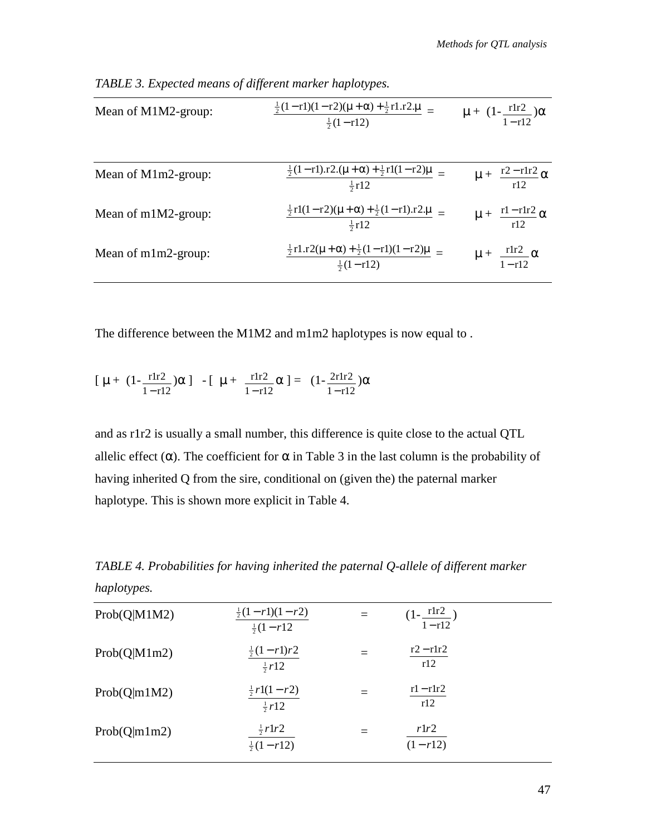| Mean of M1M2-group:    | $\frac{\frac{1}{2}(1-r1)(1-r2)(\mu+\alpha)+\frac{1}{2}r1.r2.\mu}{\frac{1}{2}(1-r12)}$           | $\mu + (1 - \frac{r1r2}{1-r12})\alpha$ |
|------------------------|-------------------------------------------------------------------------------------------------|----------------------------------------|
| Mean of M1m2-group:    | $\frac{1}{2}(1-r1) \cdot r2 \cdot (\mu + \alpha) + \frac{1}{2}r1(1-r2)\mu$<br>$\frac{1}{2}$ r12 | $\mu + \frac{r2 - r1r2}{r12} \alpha$   |
| Mean of $m1M2$ -group: | $\frac{1}{2}r1(1-r2)(\mu+\alpha)+\frac{1}{2}(1-r1).r2.\mu$<br>$\frac{1}{2}$ r12                 | $\mu + \frac{r1 - r1r2}{r12} \alpha$   |
| Mean of $m1m2$ -group: | $\frac{\frac{1}{2}r1.r2(\mu+\alpha)+\frac{1}{2}(1-r1)(1-r2)\mu}{\frac{1}{2}(1-r12)}=$           | $\mu + \frac{rlr2}{1-rl2}\alpha$       |

*TABLE 3. Expected means of different marker haplotypes.* 

The difference between the M1M2 and m1m2 haplotypes is now equal to .

$$
[\mu + (1 - \frac{rlr2}{1 - r12})\alpha] - [\mu + \frac{rlr2}{1 - r12}\alpha] = (1 - \frac{2rlr2}{1 - r12})\alpha
$$

and as r1r2 is usually a small number, this difference is quite close to the actual QTL allelic effect ( $\alpha$ ). The coefficient for  $\alpha$  in Table 3 in the last column is the probability of having inherited Q from the sire, conditional on (given the) the paternal marker haplotype. This is shown more explicit in Table 4.

 $Prob(Q|M1M2)$ 2  $\frac{1}{2}$  $(1 - r1)(1 - r2)$  $1 - r12$  $(1 - r1)(1 - r2)$ (  $-r1(1-$ −  $r1(1-r)$ *r*  $=$   $(1 1 - r12$  $\frac{r1r2}{-r12}$  $Prob(Q | M1m2)$ 2  $\frac{1}{2}$  $(1 - r1)r2$ 12  $(1 - r1)r$ *r* = r12 r2 − r1r2  $Prob(Q|m1M2)$ 2  $\frac{1}{2}$  $1(1 - r2)$ 12  $r1(1 - r)$ *r*  $\frac{(1 - r^2)}{r}$  = r12 r1− r1r2  $Prob(Q|m1m2)$ 2  $\frac{1}{2}$  $1r2$  $1 - r12$ *r r*  $(1 - r12)$  $=$   $\frac{r1r}{r}$ *r*  $1r2$  $(1 - r12)$ 

*TABLE 4. Probabilities for having inherited the paternal Q-allele of different marker haplotypes.*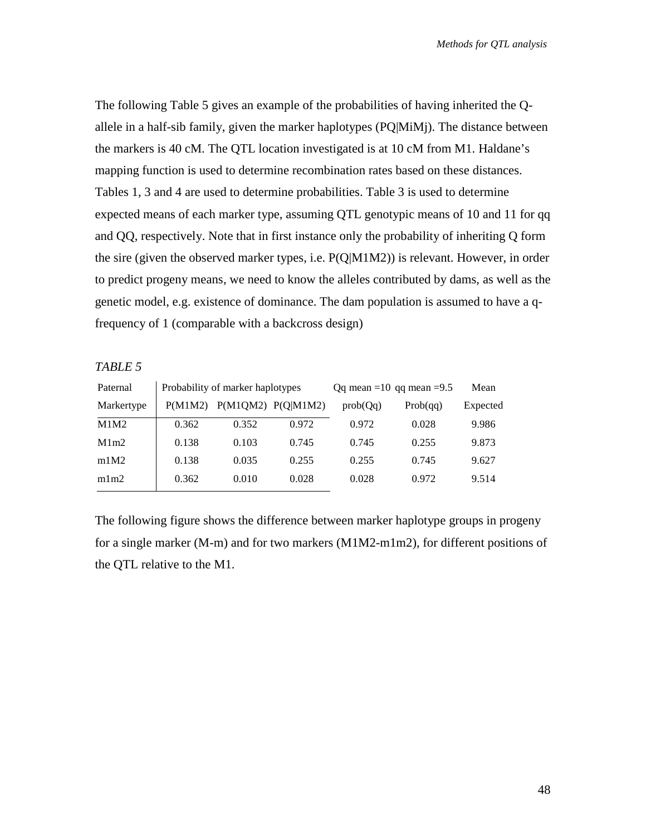The following Table 5 gives an example of the probabilities of having inherited the Qallele in a half-sib family, given the marker haplotypes (PQ|MiMj). The distance between the markers is 40 cM. The QTL location investigated is at 10 cM from M1. Haldane's mapping function is used to determine recombination rates based on these distances. Tables 1, 3 and 4 are used to determine probabilities. Table 3 is used to determine expected means of each marker type, assuming QTL genotypic means of 10 and 11 for qq and QQ, respectively. Note that in first instance only the probability of inheriting Q form the sire (given the observed marker types, i.e. P(Q|M1M2)) is relevant. However, in order to predict progeny means, we need to know the alleles contributed by dams, as well as the genetic model, e.g. existence of dominance. The dam population is assumed to have a qfrequency of 1 (comparable with a backcross design)

#### *TABLE 5*

| Paternal   | Probability of marker haplotypes |       |                    | Qq mean = $10$ qq mean = $9.5$ |          |          | Mean |
|------------|----------------------------------|-------|--------------------|--------------------------------|----------|----------|------|
| Markertype | P(M1M2)                          |       | P(M1QM2) P(Q M1M2) | prob(Qq)                       | Prob(qq) | Expected |      |
| M1M2       | 0.362                            | 0.352 | 0.972              | 0.972                          | 0.028    | 9.986    |      |
| M1m2       | 0.138                            | 0.103 | 0.745              | 0.745                          | 0.255    | 9.873    |      |
| m1M2       | 0.138                            | 0.035 | 0.255              | 0.255                          | 0.745    | 9.627    |      |
| m1m2       | 0.362                            | 0.010 | 0.028              | 0.028                          | 0.972    | 9.514    |      |

The following figure shows the difference between marker haplotype groups in progeny for a single marker (M-m) and for two markers (M1M2-m1m2), for different positions of the QTL relative to the M1.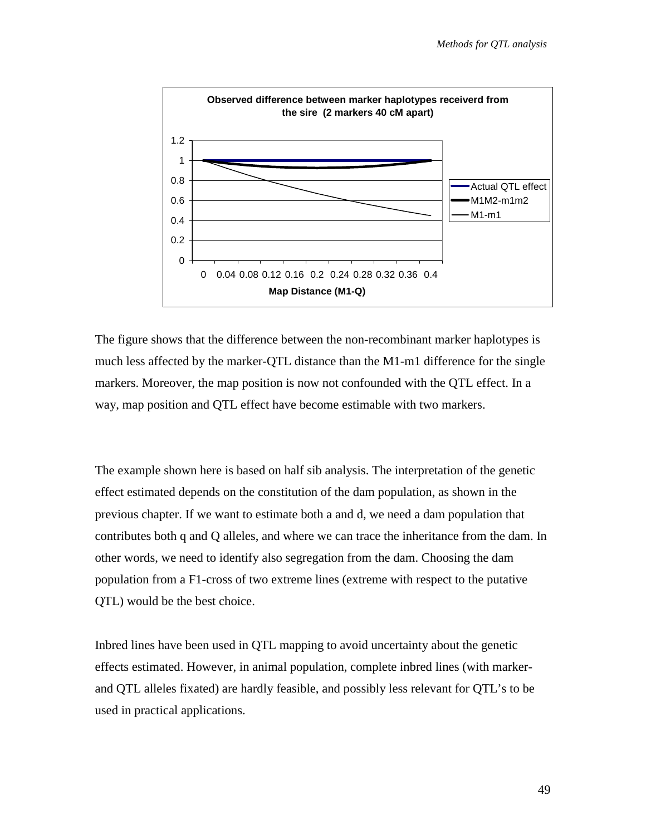

The figure shows that the difference between the non-recombinant marker haplotypes is much less affected by the marker-QTL distance than the M1-m1 difference for the single markers. Moreover, the map position is now not confounded with the QTL effect. In a way, map position and QTL effect have become estimable with two markers.

The example shown here is based on half sib analysis. The interpretation of the genetic effect estimated depends on the constitution of the dam population, as shown in the previous chapter. If we want to estimate both a and d, we need a dam population that contributes both q and Q alleles, and where we can trace the inheritance from the dam. In other words, we need to identify also segregation from the dam. Choosing the dam population from a F1-cross of two extreme lines (extreme with respect to the putative QTL) would be the best choice.

Inbred lines have been used in QTL mapping to avoid uncertainty about the genetic effects estimated. However, in animal population, complete inbred lines (with markerand QTL alleles fixated) are hardly feasible, and possibly less relevant for QTL's to be used in practical applications.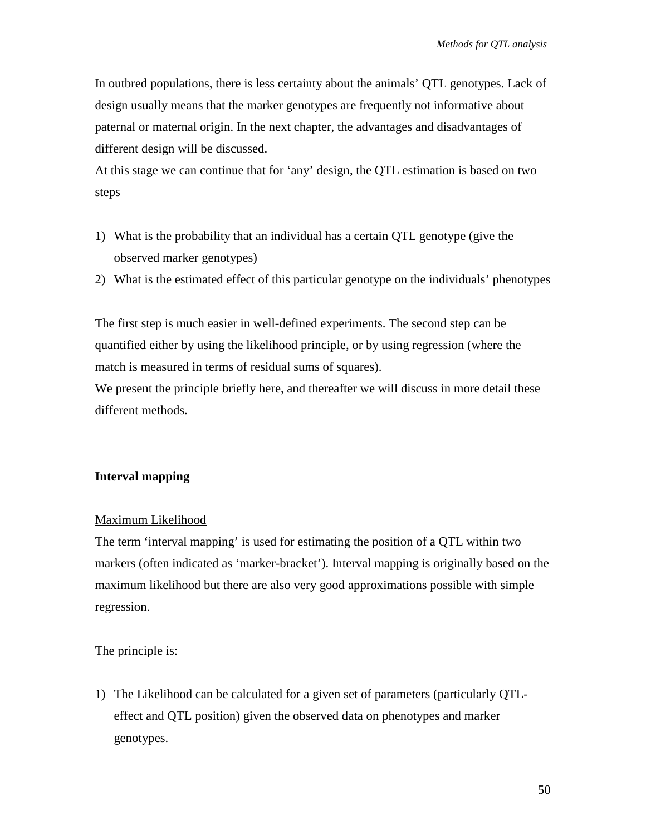<span id="page-7-0"></span>In outbred populations, there is less certainty about the animals' QTL genotypes. Lack of design usually means that the marker genotypes are frequently not informative about paternal or maternal origin. In the next chapter, the advantages and disadvantages of different design will be discussed.

At this stage we can continue that for 'any' design, the QTL estimation is based on two steps

- 1) What is the probability that an individual has a certain QTL genotype (give the observed marker genotypes)
- 2) What is the estimated effect of this particular genotype on the individuals' phenotypes

The first step is much easier in well-defined experiments. The second step can be quantified either by using the likelihood principle, or by using regression (where the match is measured in terms of residual sums of squares).

We present the principle briefly here, and thereafter we will discuss in more detail these different methods.

#### **Interval mapping**

#### Maximum Likelihood

The term 'interval mapping' is used for estimating the position of a QTL within two markers (often indicated as 'marker-bracket'). Interval mapping is originally based on the maximum likelihood but there are also very good approximations possible with simple regression.

#### The principle is:

1) The Likelihood can be calculated for a given set of parameters (particularly QTLeffect and QTL position) given the observed data on phenotypes and marker genotypes.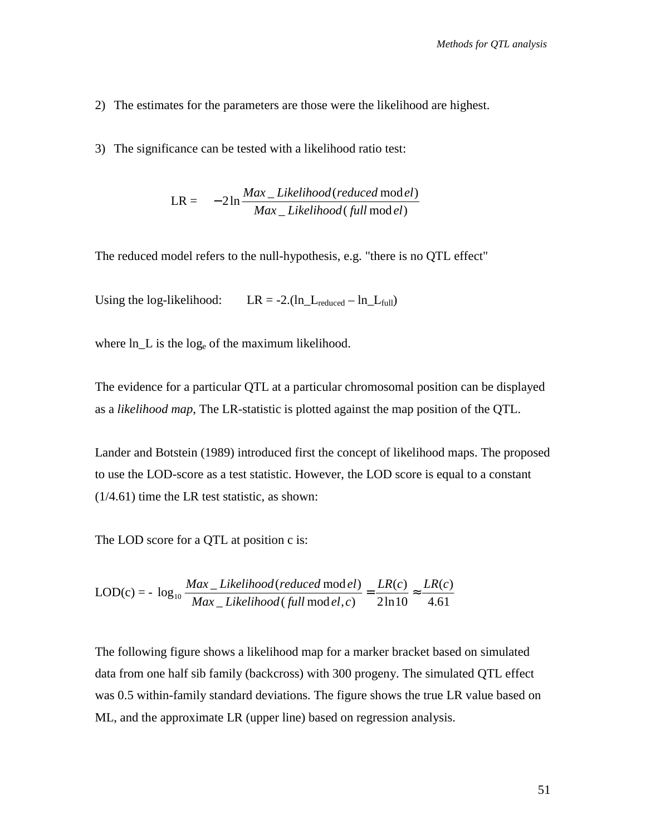2) The estimates for the parameters are those were the likelihood are highest.

3) The significance can be tested with a likelihood ratio test:

$$
LR = -2\ln \frac{Max\_Likelihood(reduced \mod el)}{Max\_Likelihood(full \mod el)}
$$

The reduced model refers to the null-hypothesis, e.g. "there is no QTL effect"

Using the log-likelihood:  $LR = -2.(ln_L_{reduced} - ln_L_{full})$ 

where  $ln\_L$  is the log<sub>e</sub> of the maximum likelihood.

The evidence for a particular QTL at a particular chromosomal position can be displayed as a *likelihood map*, The LR-statistic is plotted against the map position of the QTL.

Lander and Botstein (1989) introduced first the concept of likelihood maps. The proposed to use the LOD-score as a test statistic. However, the LOD score is equal to a constant (1/4.61) time the LR test statistic, as shown:

The LOD score for a QTL at position c is:

$$
LOD(c) = -\log_{10} \frac{Max \_Likelihood(\text{reduced mod } el)}{Max \_Likelihood(\text{full mod } el, c)} = \frac{LR(c)}{2\ln 10} \approx \frac{LR(c)}{4.61}
$$

The following figure shows a likelihood map for a marker bracket based on simulated data from one half sib family (backcross) with 300 progeny. The simulated QTL effect was 0.5 within-family standard deviations. The figure shows the true LR value based on ML, and the approximate LR (upper line) based on regression analysis.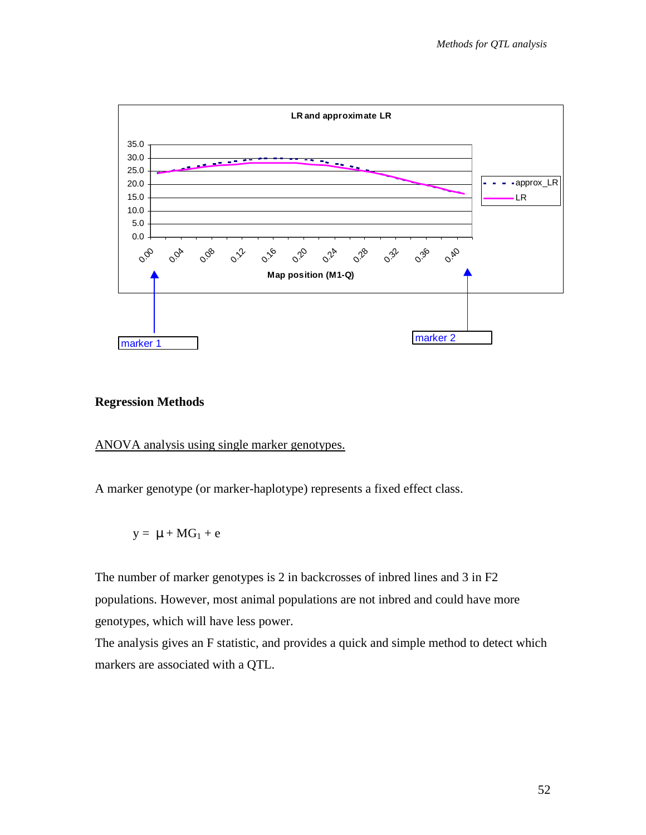<span id="page-9-0"></span>![](_page_9_Figure_1.jpeg)

#### **Regression Methods**

ANOVA analysis using single marker genotypes.

A marker genotype (or marker-haplotype) represents a fixed effect class.

$$
y = \mu + MG_1 + e
$$

The number of marker genotypes is 2 in backcrosses of inbred lines and 3 in F2 populations. However, most animal populations are not inbred and could have more genotypes, which will have less power.

The analysis gives an F statistic, and provides a quick and simple method to detect which markers are associated with a QTL.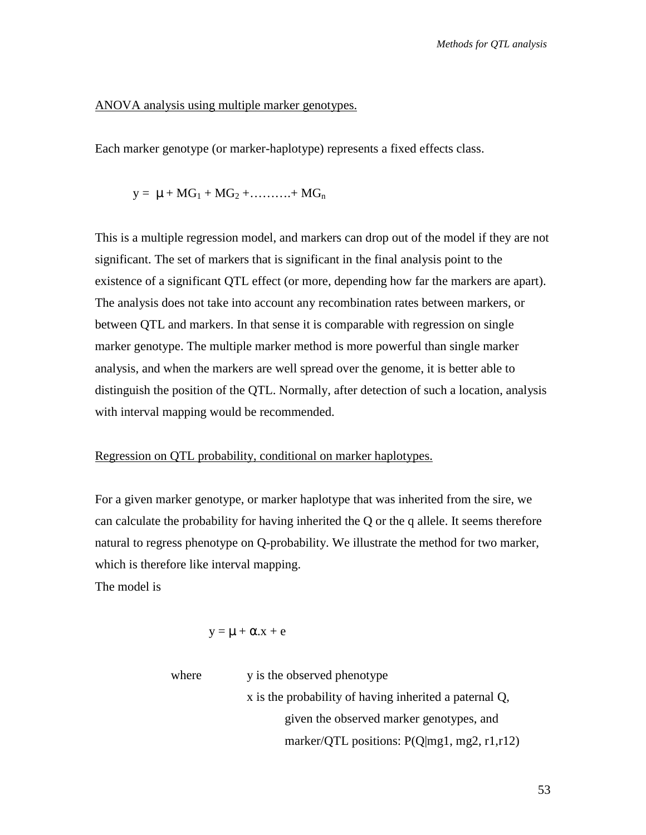#### <span id="page-10-0"></span>ANOVA analysis using multiple marker genotypes.

Each marker genotype (or marker-haplotype) represents a fixed effects class.

$$
y = \mu + MG_1 + MG_2 + \dots + MG_n
$$

This is a multiple regression model, and markers can drop out of the model if they are not significant. The set of markers that is significant in the final analysis point to the existence of a significant QTL effect (or more, depending how far the markers are apart). The analysis does not take into account any recombination rates between markers, or between QTL and markers. In that sense it is comparable with regression on single marker genotype. The multiple marker method is more powerful than single marker analysis, and when the markers are well spread over the genome, it is better able to distinguish the position of the QTL. Normally, after detection of such a location, analysis with interval mapping would be recommended.

#### Regression on QTL probability, conditional on marker haplotypes.

For a given marker genotype, or marker haplotype that was inherited from the sire, we can calculate the probability for having inherited the Q or the q allele. It seems therefore natural to regress phenotype on Q-probability. We illustrate the method for two marker, which is therefore like interval mapping.

The model is

$$
y = \mu + \alpha x + e
$$

where v is the observed phenotype x is the probability of having inherited a paternal Q, given the observed marker genotypes, and marker/QTL positions:  $P(Q \mid mg1, mg2, r1, r12)$ 

53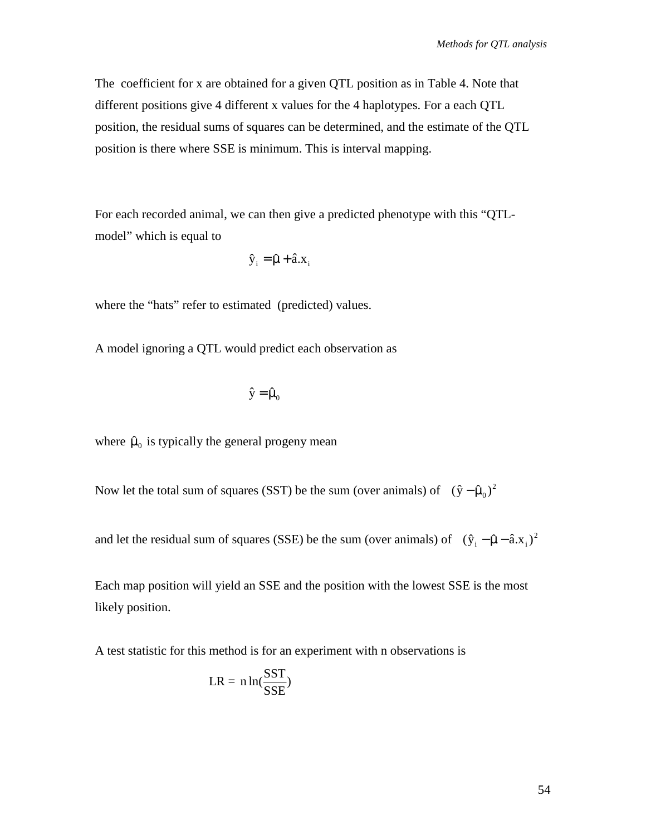The coefficient for x are obtained for a given QTL position as in Table 4. Note that different positions give 4 different x values for the 4 haplotypes. For a each QTL position, the residual sums of squares can be determined, and the estimate of the QTL position is there where SSE is minimum. This is interval mapping.

For each recorded animal, we can then give a predicted phenotype with this "QTLmodel" which is equal to

$$
\hat{\mathbf{y}}_i = \hat{\mathbf{\mu}} + \hat{\mathbf{a}} \cdot \mathbf{x}_i
$$

where the "hats" refer to estimated (predicted) values.

A model ignoring a QTL would predict each observation as

$$
\hat{\mathbf{y}} = \hat{\mathbf{\mu}}_0
$$

where  $\hat{\mu}_0$  is typically the general progeny mean

Now let the total sum of squares (SST) be the sum (over animals) of  $(\hat{y} - \hat{\mu}_0)^2$ 

and let the residual sum of squares (SSE) be the sum (over animals) of  $(\hat{y}_i - \hat{\mu} - \hat{a}x_i)^2$ 

Each map position will yield an SSE and the position with the lowest SSE is the most likely position.

A test statistic for this method is for an experiment with n observations is

$$
LR = n \ln(\frac{SST}{SSE})
$$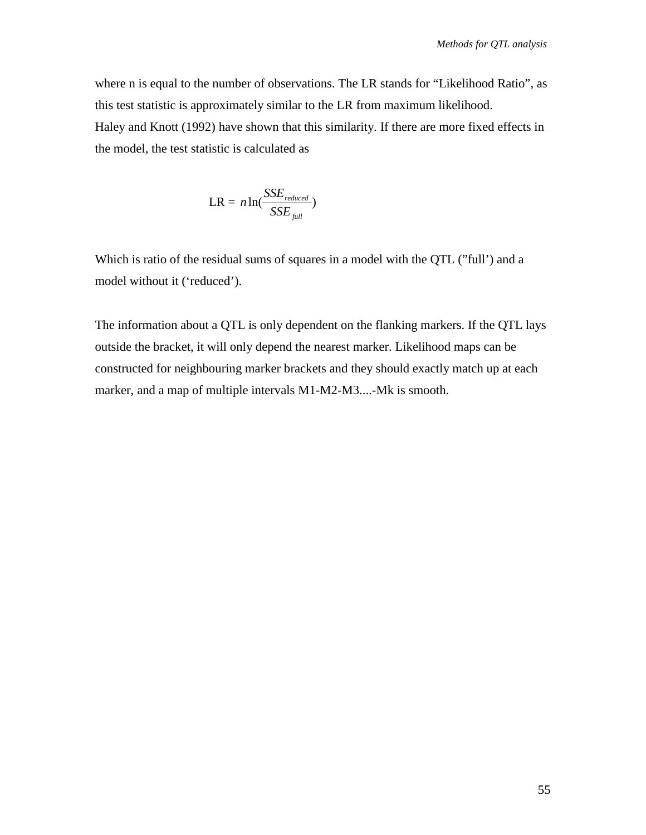where n is equal to the number of observations. The LR stands for "Likelihood Ratio", as this test statistic is approximately similar to the LR from maximum likelihood. Haley and Knott (1992) have shown that this similarity. If there are more fixed effects in the model, the test statistic is calculated as

$$
\text{LR} = \textit{n} \ln(\frac{\textit{SSE}_{reduced}}{\textit{SSE}_{\textit{full}}})
$$

Which is ratio of the residual sums of squares in a model with the QTL ("full') and a model without it ('reduced').

The information about a QTL is only dependent on the flanking markers. If the QTL lays outside the bracket, it will only depend the nearest marker. Likelihood maps can be constructed for neighbouring marker brackets and they should exactly match up at each marker, and a map of multiple intervals M1-M2-M3....-Mk is smooth.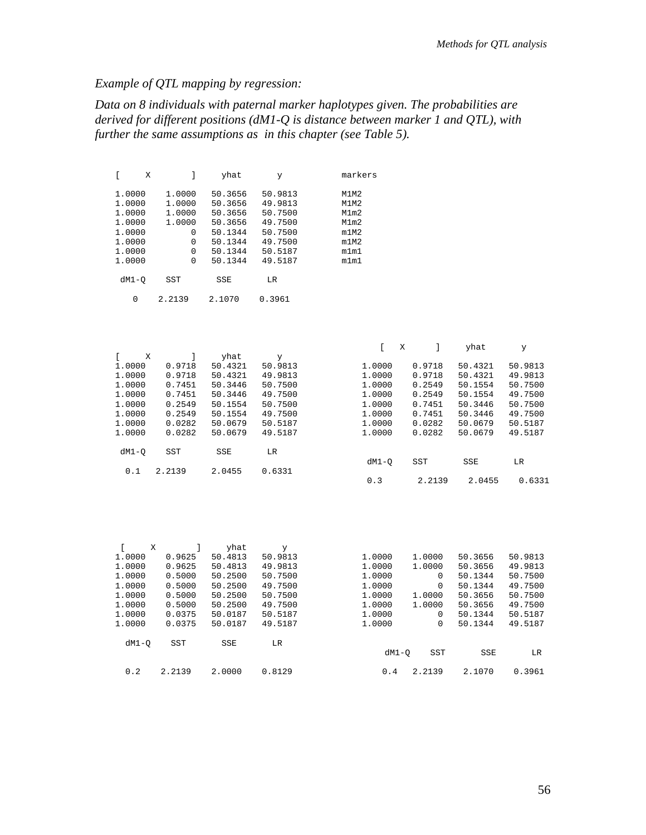### *Example of QTL mapping by regression:*

*Data on 8 individuals with paternal marker haplotypes given. The probabilities are derived for different positions (dM1-Q is distance between marker 1 and QTL), with further the same assumptions as in this chapter (see Table 5).* 

| L                | Χ           | I                | yhat               | У                  | markers          |         |        |                    |                    |
|------------------|-------------|------------------|--------------------|--------------------|------------------|---------|--------|--------------------|--------------------|
| 1.0000<br>1.0000 |             | 1.0000<br>1.0000 | 50.3656<br>50.3656 | 50.9813<br>49.9813 | M1M2<br>M1M2     |         |        |                    |                    |
| 1.0000           |             | 1.0000           | 50.3656            | 50.7500            | M1m2             |         |        |                    |                    |
| 1.0000           |             | 1.0000           | 50.3656            | 49.7500            | M1m2             |         |        |                    |                    |
| 1.0000           |             | 0                | 50.1344            | 50.7500            | m1M2             |         |        |                    |                    |
| 1.0000           |             | 0                | 50.1344            | 49.7500            | m1M2             |         |        |                    |                    |
| 1.0000           |             | 0                | 50.1344            | 50.5187            | m1m1             |         |        |                    |                    |
| 1.0000           |             | 0                | 50.1344            | 49.5187            | m1m1             |         |        |                    |                    |
|                  | $dM1-Q$     | SST              | SSE                | LR                 |                  |         |        |                    |                    |
|                  | $\mathsf 0$ | 2.2139           | 2.1070             | 0.3961             |                  |         |        |                    |                    |
|                  |             |                  |                    |                    |                  |         |        |                    |                    |
| L                | Χ           | J                | yhat               |                    | $\mathbf{r}$     | Χ       | 1      | yhat               | У                  |
| 1.0000           |             | 0.9718           | 50.4321            | У<br>50.9813       | 1.0000           |         | 0.9718 | 50.4321            | 50.9813            |
| 1.0000           |             | 0.9718           | 50.4321            | 49.9813            | 1.0000           |         | 0.9718 | 50.4321            | 49.9813            |
| 1.0000           |             | 0.7451           | 50.3446            | 50.7500            | 1.0000           |         | 0.2549 | 50.1554            | 50.7500            |
| 1.0000           |             | 0.7451           | 50.3446            | 49.7500            | 1.0000           |         | 0.2549 | 50.1554            | 49.7500            |
| 1.0000           |             | 0.2549           | 50.1554            | 50.7500            | 1.0000           |         | 0.7451 | 50.3446            | 50.7500            |
| 1.0000           |             | 0.2549           | 50.1554            | 49.7500            | 1.0000           |         | 0.7451 | 50.3446            | 49.7500            |
| 1.0000           |             | 0.0282           | 50.0679            | 50.5187            | 1.0000           |         | 0.0282 | 50.0679            | 50.5187            |
| 1.0000           |             | 0.0282           | 50.0679            | 49.5187            | 1.0000           |         | 0.0282 | 50.0679            | 49.5187            |
|                  |             |                  |                    |                    |                  |         |        |                    |                    |
|                  | $dM1-Q$     | SST              | SSE                | LR                 | $dM1-Q$          |         | SST    | SSE                | LR                 |
|                  | 0.1         | 2.2139           | 2.0455             | 0.6331             |                  |         |        |                    |                    |
|                  |             |                  |                    |                    | 0.3              |         | 2.2139 | 2.0455             | 0.6331             |
|                  |             |                  |                    |                    |                  |         |        |                    |                    |
|                  |             |                  |                    |                    |                  |         |        |                    |                    |
| $\mathbf{r}$     | Χ           | J.               | yhat               | У                  |                  |         |        |                    |                    |
| 1.0000           |             | 0.9625           | 50.4813            | 50.9813            | 1.0000           |         | 1.0000 | 50.3656            | 50.9813            |
| 1.0000           |             | 0.9625           | 50.4813            | 49.9813            | 1.0000           |         | 1.0000 | 50.3656            | 49.9813            |
| 1.0000<br>1.0000 |             | 0.5000<br>0.5000 | 50.2500<br>50.2500 | 50.7500<br>49.7500 | 1.0000<br>1.0000 |         | 0<br>0 | 50.1344<br>50.1344 | 50.7500<br>49.7500 |
| 1.0000           |             | 0.5000           | 50.2500            | 50.7500            | 1.0000           |         | 1.0000 | 50.3656            | 50.7500            |
| 1.0000           |             | 0.5000           | 50.2500            | 49.7500            | 1.0000           |         | 1.0000 | 50.3656            | 49.7500            |
| 1.0000           |             | 0.0375           | 50.0187            | 50.5187            | 1.0000           |         | 0      | 50.1344            | 50.5187            |
| 1.0000           |             | 0.0375           | 50.0187            | 49.5187            | 1.0000           |         | 0      | 50.1344            | 49.5187            |
|                  |             |                  |                    |                    |                  |         |        |                    |                    |
|                  | $dM1-Q$     | SST              | SSE                | LR                 |                  |         |        |                    |                    |
|                  |             |                  |                    |                    |                  | $dM1-Q$ | SST    | SSE                | LR                 |
|                  | 0.2         | 2.2139           | 2.0000             | 0.8129             | 0.4              |         | 2.2139 | 2.1070             | 0.3961             |
|                  |             |                  |                    |                    |                  |         |        |                    |                    |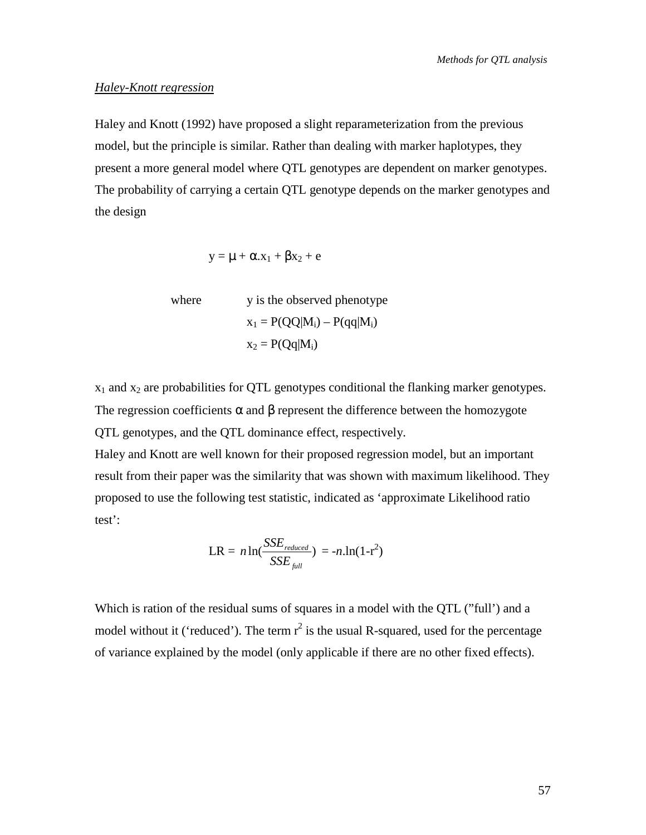#### <span id="page-14-0"></span>*Haley-Knott regression*

Haley and Knott (1992) have proposed a slight reparameterization from the previous model, but the principle is similar. Rather than dealing with marker haplotypes, they present a more general model where QTL genotypes are dependent on marker genotypes. The probability of carrying a certain QTL genotype depends on the marker genotypes and the design

$$
y = \mu + \alpha x_1 + \beta x_2 + e
$$

where y is the observed phenotype  $x_1 = P(QQ|M_i) - P(qq|M_i)$  $x_2 = P(Qq|M_i)$ 

 $x_1$  and  $x_2$  are probabilities for QTL genotypes conditional the flanking marker genotypes. The regression coefficients  $\alpha$  and  $\beta$  represent the difference between the homozygote QTL genotypes, and the QTL dominance effect, respectively.

Haley and Knott are well known for their proposed regression model, but an important result from their paper was the similarity that was shown with maximum likelihood. They proposed to use the following test statistic, indicated as 'approximate Likelihood ratio test':

$$
LR = n \ln(\frac{SSE_{reduced}}{SSE_{full}}) = -n \cdot ln(1-r^2)
$$

Which is ration of the residual sums of squares in a model with the QTL ("full') and a model without it ('reduced'). The term  $r^2$  is the usual R-squared, used for the percentage of variance explained by the model (only applicable if there are no other fixed effects).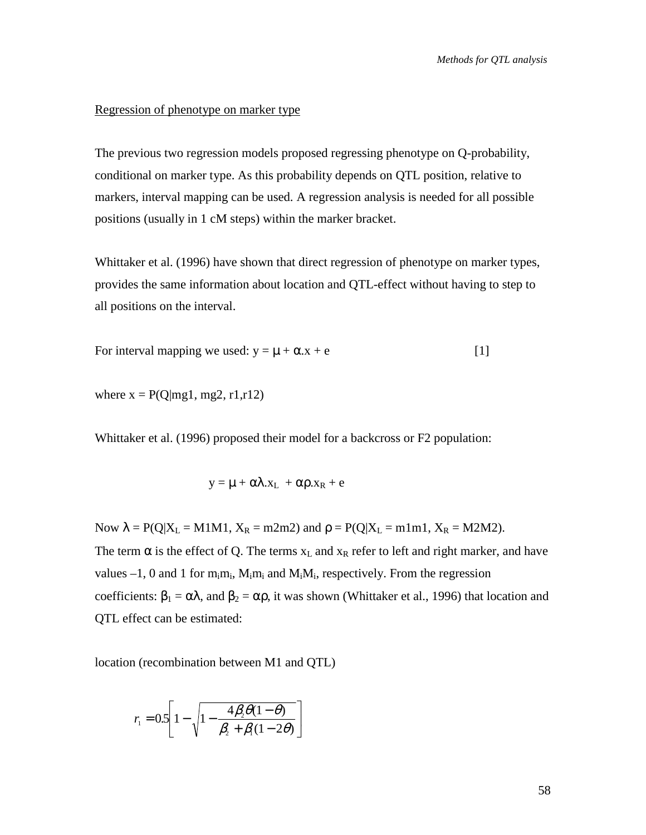#### <span id="page-15-0"></span>Regression of phenotype on marker type

The previous two regression models proposed regressing phenotype on Q-probability, conditional on marker type. As this probability depends on QTL position, relative to markers, interval mapping can be used. A regression analysis is needed for all possible positions (usually in 1 cM steps) within the marker bracket.

Whittaker et al. (1996) have shown that direct regression of phenotype on marker types, provides the same information about location and QTL-effect without having to step to all positions on the interval.

For interval mapping we used: 
$$
y = \mu + \alpha x + e
$$
 [1]

where  $x = P(Q|mg1, mg2, r1,r12)$ 

Whittaker et al. (1996) proposed their model for a backcross or F2 population:

$$
y = \mu + \alpha \lambda x_L + \alpha \rho x_R + e
$$

Now  $\lambda = P(Q|X_L = M1M1, X_R = m2m2)$  and  $\rho = P(Q|X_L = m1m1, X_R = M2M2)$ . The term  $\alpha$  is the effect of Q. The terms  $x_L$  and  $x_R$  refer to left and right marker, and have values  $-1$ , 0 and 1 for m<sub>i</sub>m<sub>i</sub>, M<sub>i</sub>m<sub>i</sub> and M<sub>i</sub>M<sub>i</sub>, respectively. From the regression coefficients:  $\beta_1 = \alpha \lambda$ , and  $\beta_2 = \alpha \rho$ , it was shown (Whittaker et al., 1996) that location and QTL effect can be estimated:

location (recombination between M1 and QTL)

$$
r_1 = 0.5 \left[ 1 - \sqrt{1 - \frac{4 \beta_2 \theta (1 - \theta)}{\beta_2 + \beta_1 (1 - 2\theta)}} \right]
$$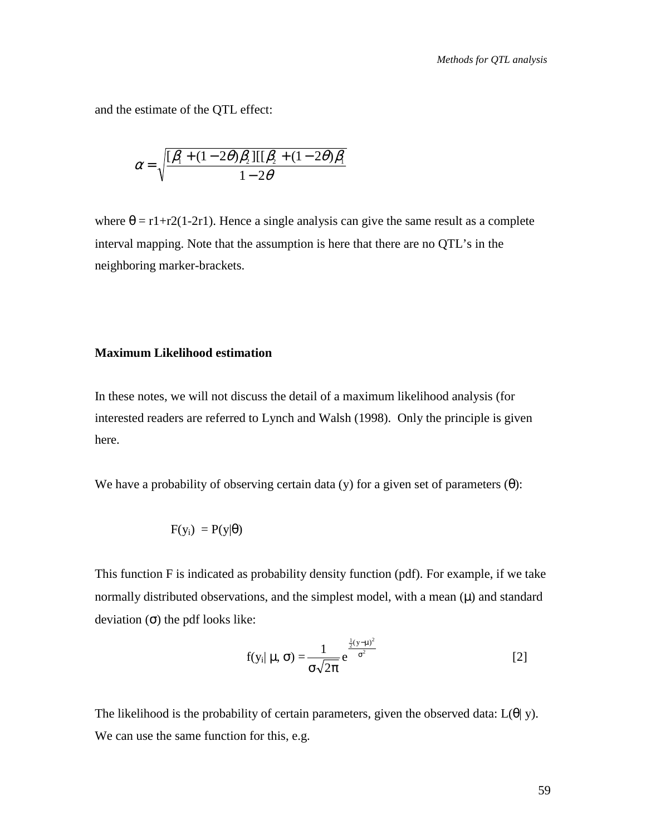<span id="page-16-0"></span>and the estimate of the QTL effect:

$$
\alpha = \sqrt{\frac{[\beta_1 + (1 - 2\theta)\beta_2][[\beta_2 + (1 - 2\theta)\beta_1 + (1 - 2\theta)\beta_1 + (1 - 2\theta)]^2 + 2\theta_1^2 + (1 - 2\theta)\beta_1^2 + (1 - 2\theta)\beta_2^2}}
$$

where  $\theta = r1 + r2(1-2r1)$ . Hence a single analysis can give the same result as a complete interval mapping. Note that the assumption is here that there are no QTL's in the neighboring marker-brackets.

#### **Maximum Likelihood estimation**

In these notes, we will not discuss the detail of a maximum likelihood analysis (for interested readers are referred to Lynch and Walsh (1998). Only the principle is given here.

We have a probability of observing certain data (y) for a given set of parameters  $(\theta)$ :

$$
F(y_i) = P(y|\theta)
$$

This function F is indicated as probability density function (pdf). For example, if we take normally distributed observations, and the simplest model, with a mean  $(\mu)$  and standard deviation (σ) the pdf looks like:

$$
f(y_i | \mu, \sigma) = \frac{1}{\sigma \sqrt{2\pi}} e^{\frac{\frac{1}{2}(y-\mu)^2}{\sigma^2}}
$$
 [2]

The likelihood is the probability of certain parameters, given the observed data:  $L(\theta | y)$ . We can use the same function for this, e.g.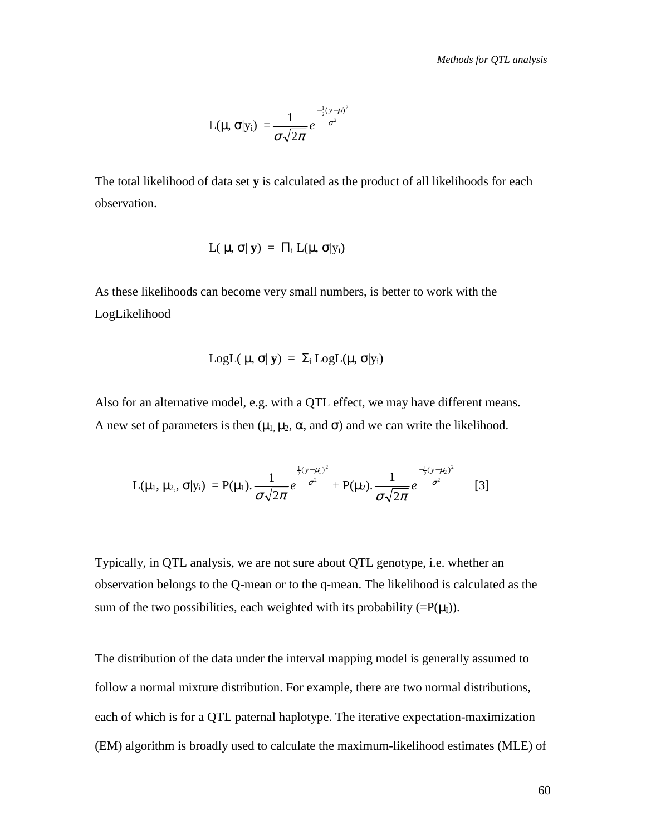$$
L(\mu, \sigma|y_i) = \frac{1}{\sigma\sqrt{2\pi}}e^{-\frac{1}{2}(y-\mu)^2}
$$

The total likelihood of data set **y** is calculated as the product of all likelihoods for each observation.

$$
L(\mu, \sigma | \mathbf{y}) = \Pi_i L(\mu, \sigma | y_i)
$$

As these likelihoods can become very small numbers, is better to work with the LogLikelihood

$$
LogL(\mu, \sigma | \mathbf{y}) = \Sigma_i LogL(\mu, \sigma | y_i)
$$

Also for an alternative model, e.g. with a QTL effect, we may have different means. A new set of parameters is then  $(\mu_1, \mu_2, \alpha, \text{ and } \sigma)$  and we can write the likelihood.

$$
L(\mu_1, \mu_2, \sigma|y_i) = P(\mu_1) \cdot \frac{1}{\sigma \sqrt{2\pi}} e^{-\frac{\frac{1}{2}(y-\mu_1)^2}{\sigma^2}} + P(\mu_2) \cdot \frac{1}{\sigma \sqrt{2\pi}} e^{-\frac{\frac{1}{2}(y-\mu_2)^2}{\sigma^2}}
$$
 [3]

Typically, in QTL analysis, we are not sure about QTL genotype, i.e. whether an observation belongs to the Q-mean or to the q-mean. The likelihood is calculated as the sum of the two possibilities, each weighted with its probability  $(=P(\mu_I))$ .

The distribution of the data under the interval mapping model is generally assumed to follow a normal mixture distribution. For example, there are two normal distributions, each of which is for a QTL paternal haplotype. The iterative expectation-maximization (EM) algorithm is broadly used to calculate the maximum-likelihood estimates (MLE) of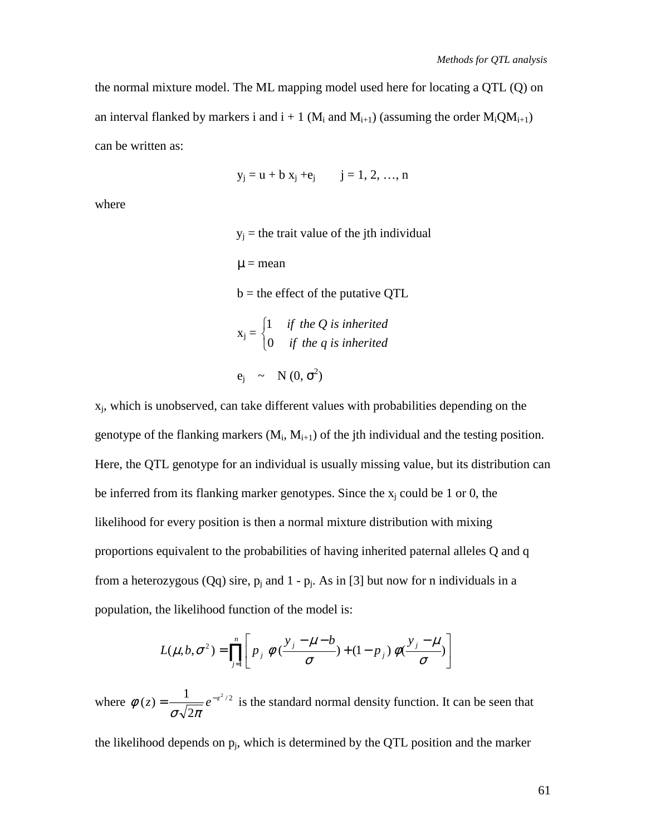the normal mixture model. The ML mapping model used here for locating a QTL (Q) on an interval flanked by markers i and  $i + 1$  (M<sub>i</sub> and M<sub>i+1</sub>) (assuming the order M<sub>i</sub>QM<sub>i+1</sub>) can be written as:

$$
y_j = u + b x_j + e_j
$$
  $j = 1, 2, ..., n$ 

where

 $y_i$  = the trait value of the jth individual  $\mu$  = mean  $b =$  the effect of the putative QTL  $x_j =$  $\overline{\mathcal{L}}$ ⇃  $\left\lceil$ *if the q is inherited if the Q is inherited* 0 1  $e_j \sim N(0, \sigma^2)$ 

xj, which is unobserved, can take different values with probabilities depending on the genotype of the flanking markers  $(M_i, M_{i+1})$  of the jth individual and the testing position. Here, the QTL genotype for an individual is usually missing value, but its distribution can be inferred from its flanking marker genotypes. Since the  $x_i$  could be 1 or 0, the likelihood for every position is then a normal mixture distribution with mixing proportions equivalent to the probabilities of having inherited paternal alleles Q and q from a heterozygous (Qq) sire,  $p_i$  and  $1 - p_i$ . As in [3] but now for n individuals in a population, the likelihood function of the model is:

$$
L(\mu, b, \sigma^2) = \prod_{j=1}^n \left[ p_j \phi \left( \frac{y_j - \mu - b}{\sigma} \right) + (1 - p_j) \phi \left( \frac{y_j - \mu}{\sigma} \right) \right]
$$

where  $\phi(z) = \frac{1}{\sqrt{2\pi}} e^{-z^2/2}$ 2  $(z) = \frac{1}{\sqrt{z}} e^{-z}$  $σ√2π$  $\phi(z) = \frac{1}{\sqrt{z}} e^{-z^2/2}$  is the standard normal density function. It can be seen that

the likelihood depends on  $p_i$ , which is determined by the QTL position and the marker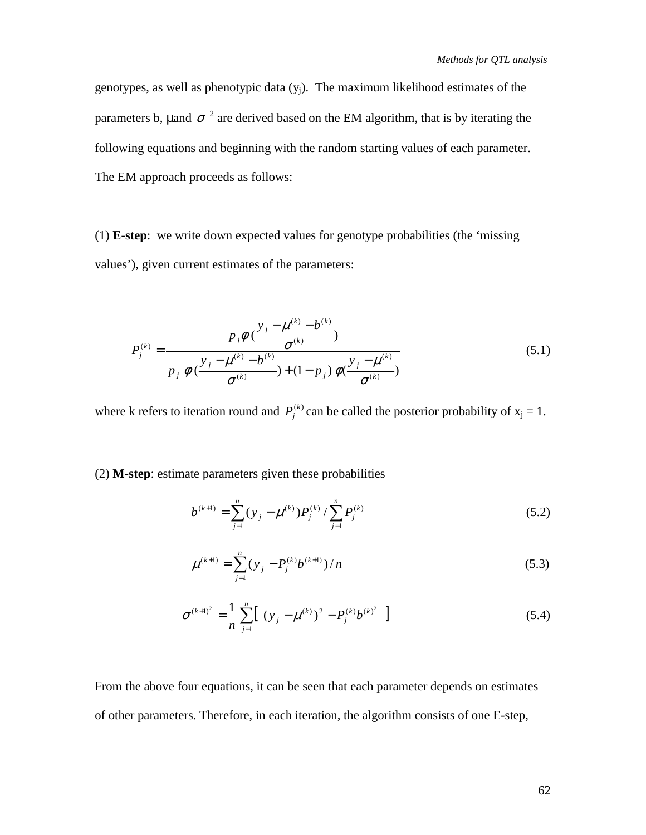genotypes, as well as phenotypic data  $(y<sub>i</sub>)$ . The maximum likelihood estimates of the parameters b, µand  $\sigma^2$  are derived based on the EM algorithm, that is by iterating the following equations and beginning with the random starting values of each parameter. The EM approach proceeds as follows:

(1) **E-step**: we write down expected values for genotype probabilities (the 'missing values'), given current estimates of the parameters:

$$
P_j^{(k)} = \frac{p_j \phi \left(\frac{y_j - \mu^{(k)} - b^{(k)}}{\sigma^{(k)}}\right)}{p_j \phi \left(\frac{y_j - \mu^{(k)} - b^{(k)}}{\sigma^{(k)}}\right) + (1 - p_j) \phi \left(\frac{y_j - \mu^{(k)}}{\sigma^{(k)}}\right)}
$$
(5.1)

where k refers to iteration round and  $P_j^{(k)}$  can be called the posterior probability of  $x_j = 1$ .

#### (2) **M-step**: estimate parameters given these probabilities

$$
b^{(k+1)} = \sum_{j=1}^{n} (y_j - \mu^{(k)}) P_j^{(k)} / \sum_{j=1}^{n} P_j^{(k)}
$$
(5.2)

$$
\mu^{(k+1)} = \sum_{j=1}^{n} (y_j - P_j^{(k)} b^{(k+1)}) / n
$$
\n(5.3)

$$
\sigma^{(k+1)^2} = \frac{1}{n} \sum_{j=1}^n \left[ (y_j - \mu^{(k)})^2 - P_j^{(k)} b^{(k)^2} \right]
$$
 (5.4)

From the above four equations, it can be seen that each parameter depends on estimates of other parameters. Therefore, in each iteration, the algorithm consists of one E-step,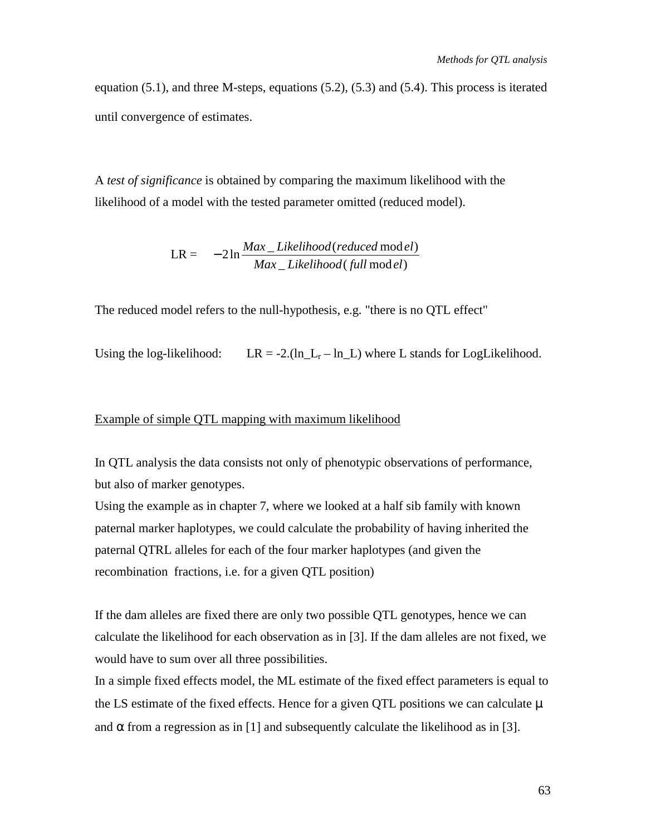<span id="page-20-0"></span>equation  $(5.1)$ , and three M-steps, equations  $(5.2)$ ,  $(5.3)$  and  $(5.4)$ . This process is iterated until convergence of estimates.

A *test of significance* is obtained by comparing the maximum likelihood with the likelihood of a model with the tested parameter omitted (reduced model).

> $LR = -2 \ln \frac{Max\_Likelihood(reduced \text{ mod } el)}{Max\_Likelihood(full \text{ mod } el)}$  $Max$  *\_ Likelihood* (*full* mod*el Max Likelihood reduced el* <sup>−</sup>

The reduced model refers to the null-hypothesis, e.g. "there is no QTL effect"

Using the log-likelihood:  $LR = -2.(ln_L - ln_L)$  where L stands for LogLikelihood.

#### Example of simple QTL mapping with maximum likelihood

In QTL analysis the data consists not only of phenotypic observations of performance, but also of marker genotypes.

Using the example as in chapter 7, where we looked at a half sib family with known paternal marker haplotypes, we could calculate the probability of having inherited the paternal QTRL alleles for each of the four marker haplotypes (and given the recombination fractions, i.e. for a given QTL position)

If the dam alleles are fixed there are only two possible QTL genotypes, hence we can calculate the likelihood for each observation as in [3]. If the dam alleles are not fixed, we would have to sum over all three possibilities.

In a simple fixed effects model, the ML estimate of the fixed effect parameters is equal to the LS estimate of the fixed effects. Hence for a given QTL positions we can calculate  $\mu$ and  $\alpha$  from a regression as in [1] and subsequently calculate the likelihood as in [3].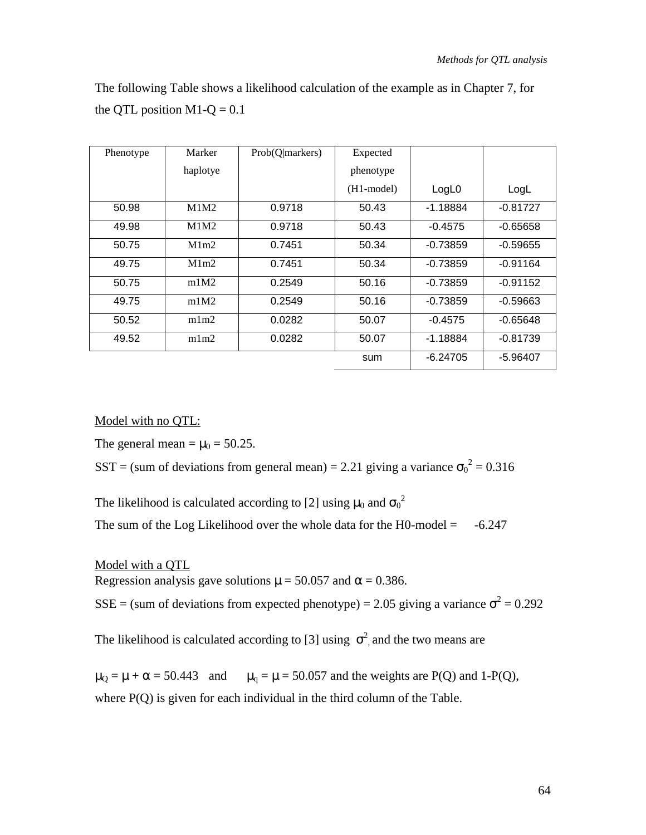| The following Table shows a likelihood calculation of the example as in Chapter 7, for |
|----------------------------------------------------------------------------------------|
| the QTL position M1-Q = $0.1$                                                          |

| Phenotype | Marker   | Prob(Q markers) | Expected     |            |            |
|-----------|----------|-----------------|--------------|------------|------------|
|           | haplotye |                 | phenotype    |            |            |
|           |          |                 | $(H1-model)$ | LogLO      | LogL       |
| 50.98     | M1M2     | 0.9718          | 50.43        | $-1.18884$ | $-0.81727$ |
| 49.98     | M1M2     | 0.9718          | 50.43        | $-0.4575$  | $-0.65658$ |
| 50.75     | M1m2     | 0.7451          | 50.34        | $-0.73859$ | $-0.59655$ |
| 49.75     | M1m2     | 0.7451          | 50.34        | $-0.73859$ | $-0.91164$ |
| 50.75     | m1M2     | 0.2549          | 50.16        | $-0.73859$ | $-0.91152$ |
| 49.75     | m1M2     | 0.2549          | 50.16        | $-0.73859$ | $-0.59663$ |
| 50.52     | m1m2     | 0.0282          | 50.07        | $-0.4575$  | $-0.65648$ |
| 49.52     | m1m2     | 0.0282          | 50.07        | $-1.18884$ | $-0.81739$ |
|           |          |                 | sum          | $-6.24705$ | $-5.96407$ |

#### Model with no QTL:

The general mean =  $\mu_0$  = 50.25.

SST = (sum of deviations from general mean) = 2.21 giving a variance  $\sigma_0^2 = 0.316$ 

The likelihood is calculated according to [2] using  $\mu_0$  and  $\sigma_0^2$ 

The sum of the Log Likelihood over the whole data for the H0-model =  $-6.247$ 

Model with a QTL

Regression analysis gave solutions  $\mu$  = 50.057 and  $\alpha$  = 0.386.

SSE = (sum of deviations from expected phenotype) = 2.05 giving a variance  $\sigma^2$  = 0.292

The likelihood is calculated according to [3] using  $\sigma^2$  and the two means are

 $\mu_Q = \mu + \alpha = 50.443$  and  $\mu_q = \mu = 50.057$  and the weights are P(Q) and 1-P(Q), where P(Q) is given for each individual in the third column of the Table.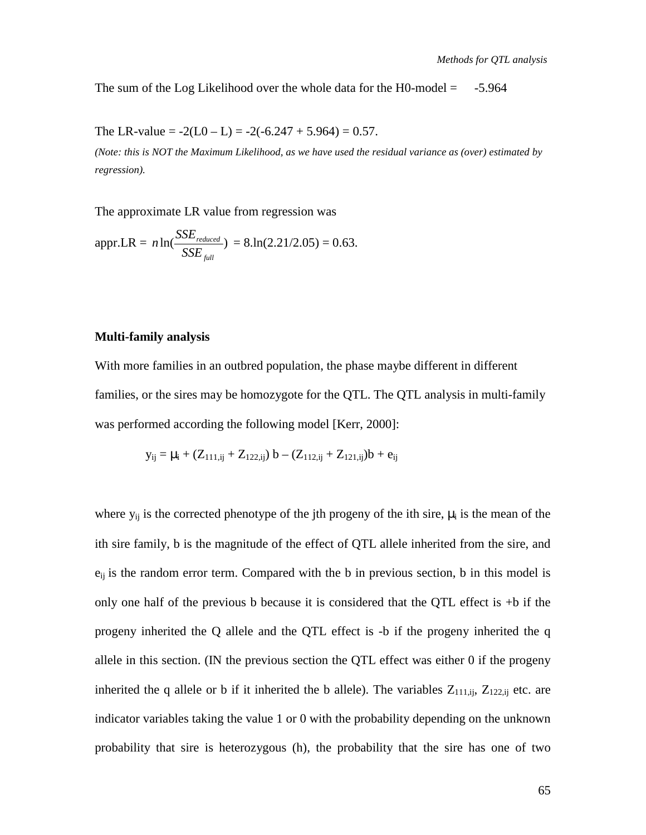The sum of the Log Likelihood over the whole data for the H0-model  $= -5.964$ 

The LR-value =  $-2(L0 - L) = -2(-6.247 + 5.964) = 0.57$ .

*(Note: this is NOT the Maximum Likelihood, as we have used the residual variance as (over) estimated by regression).* 

The approximate LR value from regression was

$$
appr.LR = n \ln(\frac{SSE_{reduced}}{SSE_{full}}) = 8. \ln(2.21/2.05) = 0.63.
$$

#### **Multi-family analysis**

With more families in an outbred population, the phase maybe different in different families, or the sires may be homozygote for the QTL. The QTL analysis in multi-family was performed according the following model [Kerr, 2000]:

$$
y_{ij} = \mu_i + (Z_{111,ij} + Z_{122,ij}) b - (Z_{112,ij} + Z_{121,ij}) b + e_{ij}
$$

where  $y_{ii}$  is the corrected phenotype of the jth progeny of the ith sire,  $\mu_i$  is the mean of the ith sire family, b is the magnitude of the effect of QTL allele inherited from the sire, and  $e_{ii}$  is the random error term. Compared with the b in previous section, b in this model is only one half of the previous b because it is considered that the QTL effect is +b if the progeny inherited the Q allele and the QTL effect is -b if the progeny inherited the q allele in this section. (IN the previous section the QTL effect was either 0 if the progeny inherited the q allele or b if it inherited the b allele). The variables  $Z_{111,ii}$ ,  $Z_{122,ii}$  etc. are indicator variables taking the value 1 or 0 with the probability depending on the unknown probability that sire is heterozygous (h), the probability that the sire has one of two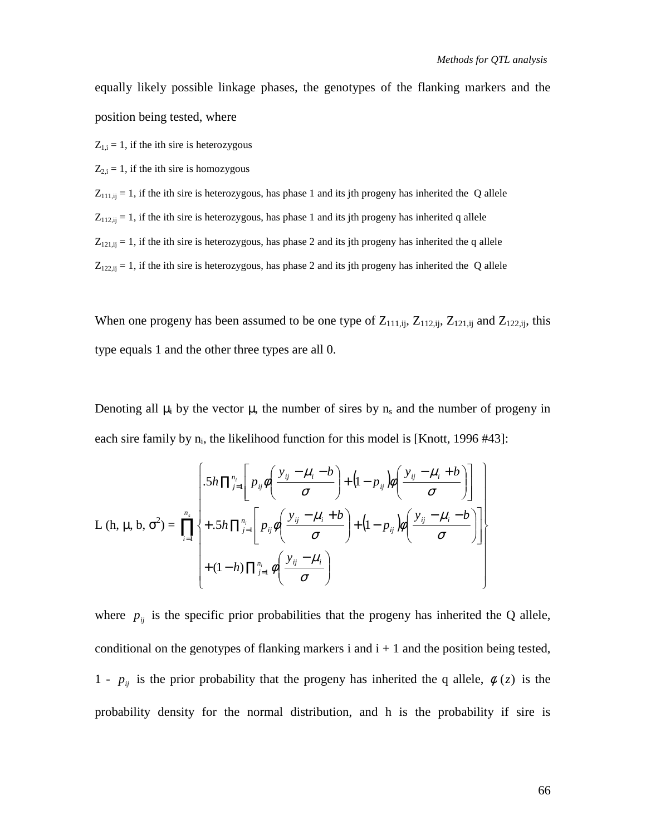equally likely possible linkage phases, the genotypes of the flanking markers and the position being tested, where

 $Z_{1,i} = 1$ , if the ith sire is heterozygous

 $Z_{2,i} = 1$ , if the ith sire is homozygous

 $Z_{111,ij} = 1$ , if the ith sire is heterozygous, has phase 1 and its jth progeny has inherited the Q allele

 $Z_{112,ij} = 1$ , if the ith sire is heterozygous, has phase 1 and its jth progeny has inherited q allele

 $Z_{121,ij} = 1$ , if the ith sire is heterozygous, has phase 2 and its jth progeny has inherited the q allele

 $Z_{122,ij} = 1$ , if the ith sire is heterozygous, has phase 2 and its jth progeny has inherited the Q allele

When one progeny has been assumed to be one type of  $Z_{111,ij}$ ,  $Z_{112,ij}$ ,  $Z_{121,ij}$  and  $Z_{122,ij}$ , this type equals 1 and the other three types are all 0.

Denoting all  $\mu_i$  by the vector  $\mu$ , the number of sires by  $n_s$  and the number of progeny in each sire family by  $n_i$ , the likelihood function for this model is [Knott, 1996 #43]:

$$
L(h, \mu, b, \sigma^2) = \prod_{i=1}^{n_s} \left\{ +.5h \prod_{j=1}^{n_i} \left[ p_{ij} \phi \left( \frac{y_{ij} - \mu_i - b}{\sigma} \right) + (1 - p_{ij}) \phi \left( \frac{y_{ij} - \mu_i + b}{\sigma} \right) \right] \right\}
$$

$$
+ (1 - h) \prod_{j=1}^{n_s} \phi \left( \frac{y_{ij} - \mu_i + b}{\sigma} \right) + (1 - p_{ij}) \phi \left( \frac{y_{ij} - \mu_i - b}{\sigma} \right) \right\}
$$

where  $p_{ij}$  is the specific prior probabilities that the progeny has inherited the Q allele, conditional on the genotypes of flanking markers i and  $i + 1$  and the position being tested, 1 -  $p_{ij}$  is the prior probability that the progeny has inherited the q allele,  $\phi(z)$  is the probability density for the normal distribution, and h is the probability if sire is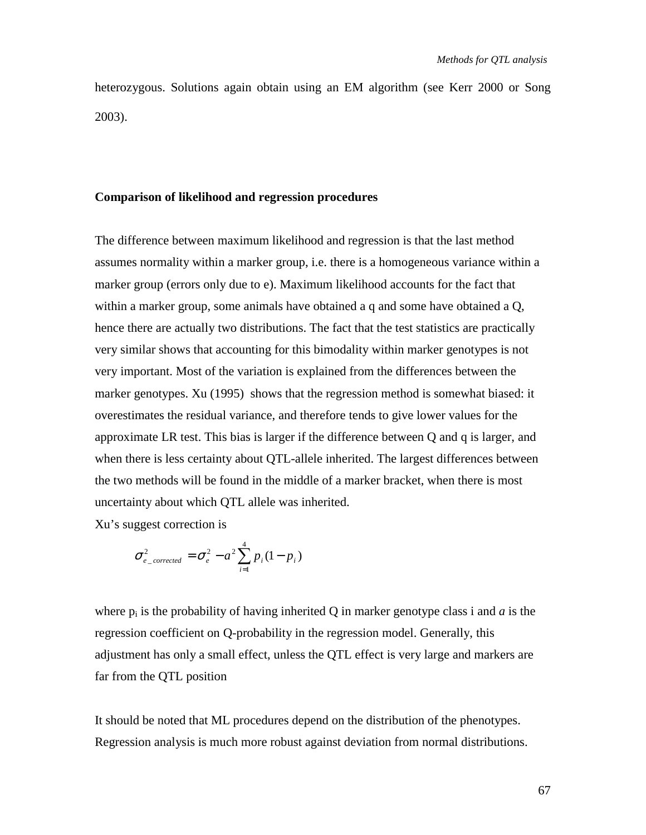<span id="page-24-0"></span>heterozygous. Solutions again obtain using an EM algorithm (see Kerr 2000 or Song 2003).

#### **Comparison of likelihood and regression procedures**

The difference between maximum likelihood and regression is that the last method assumes normality within a marker group, i.e. there is a homogeneous variance within a marker group (errors only due to e). Maximum likelihood accounts for the fact that within a marker group, some animals have obtained a q and some have obtained a Q, hence there are actually two distributions. The fact that the test statistics are practically very similar shows that accounting for this bimodality within marker genotypes is not very important. Most of the variation is explained from the differences between the marker genotypes. Xu (1995) shows that the regression method is somewhat biased: it overestimates the residual variance, and therefore tends to give lower values for the approximate LR test. This bias is larger if the difference between Q and q is larger, and when there is less certainty about QTL-allele inherited. The largest differences between the two methods will be found in the middle of a marker bracket, when there is most uncertainty about which QTL allele was inherited.

Xu's suggest correction is

$$
\sigma_{e\_corrected}^2 = \sigma_e^2 - a^2 \sum_{i=1}^4 p_i (1 - p_i)
$$

where  $p_i$  is the probability of having inherited Q in marker genotype class i and  $a$  is the regression coefficient on Q-probability in the regression model. Generally, this adjustment has only a small effect, unless the QTL effect is very large and markers are far from the QTL position

It should be noted that ML procedures depend on the distribution of the phenotypes. Regression analysis is much more robust against deviation from normal distributions.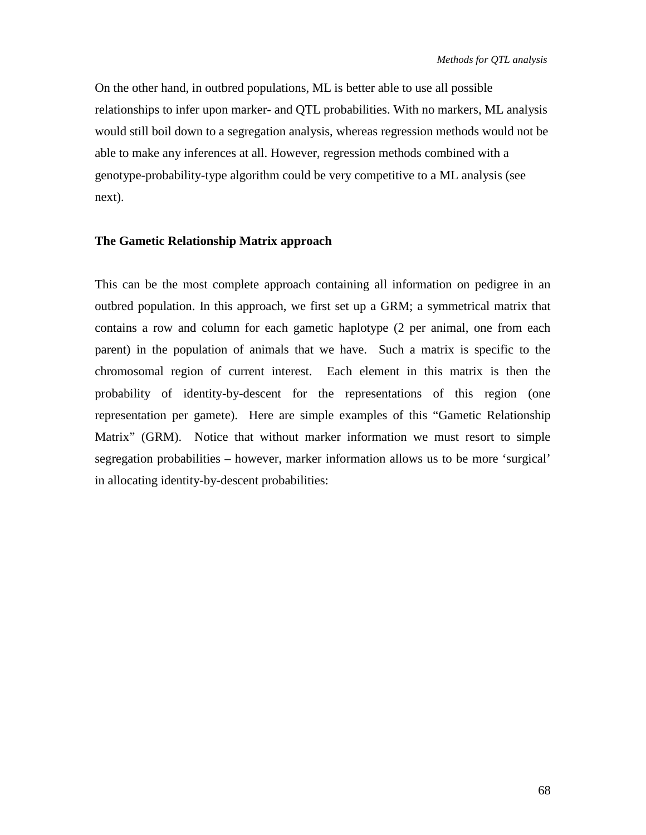<span id="page-25-0"></span>On the other hand, in outbred populations, ML is better able to use all possible relationships to infer upon marker- and QTL probabilities. With no markers, ML analysis would still boil down to a segregation analysis, whereas regression methods would not be able to make any inferences at all. However, regression methods combined with a genotype-probability-type algorithm could be very competitive to a ML analysis (see next).

#### **The Gametic Relationship Matrix approach**

This can be the most complete approach containing all information on pedigree in an outbred population. In this approach, we first set up a GRM; a symmetrical matrix that contains a row and column for each gametic haplotype (2 per animal, one from each parent) in the population of animals that we have. Such a matrix is specific to the chromosomal region of current interest. Each element in this matrix is then the probability of identity-by-descent for the representations of this region (one representation per gamete). Here are simple examples of this "Gametic Relationship Matrix" (GRM). Notice that without marker information we must resort to simple segregation probabilities – however, marker information allows us to be more 'surgical' in allocating identity-by-descent probabilities: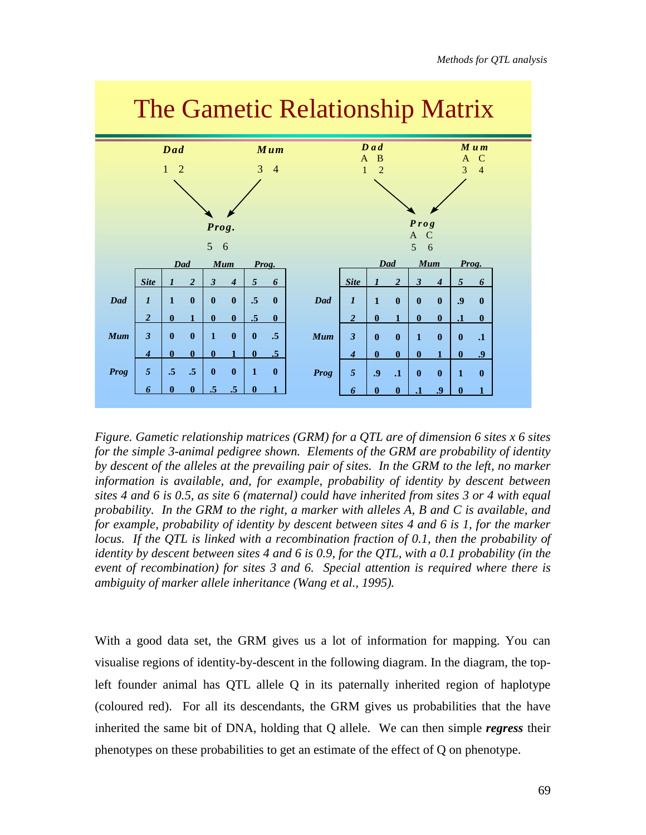![](_page_26_Figure_1.jpeg)

# The Gametic Relationship Matrix

*Figure. Gametic relationship matrices (GRM) for a QTL are of dimension 6 sites x 6 sites for the simple 3-animal pedigree shown. Elements of the GRM are probability of identity by descent of the alleles at the prevailing pair of sites. In the GRM to the left, no marker information is available, and, for example, probability of identity by descent between sites 4 and 6 is 0.5, as site 6 (maternal) could have inherited from sites 3 or 4 with equal probability. In the GRM to the right, a marker with alleles A, B and C is available, and for example, probability of identity by descent between sites 4 and 6 is 1, for the marker locus. If the OTL is linked with a recombination fraction of 0.1, then the probability of identity by descent between sites 4 and 6 is 0.9, for the QTL, with a 0.1 probability (in the event of recombination) for sites 3 and 6. Special attention is required where there is ambiguity of marker allele inheritance (Wang et al., 1995).* 

With a good data set, the GRM gives us a lot of information for mapping. You can visualise regions of identity-by-descent in the following diagram. In the diagram, the topleft founder animal has QTL allele Q in its paternally inherited region of haplotype (coloured red). For all its descendants, the GRM gives us probabilities that the have inherited the same bit of DNA, holding that Q allele. We can then simple *regress* their phenotypes on these probabilities to get an estimate of the effect of Q on phenotype.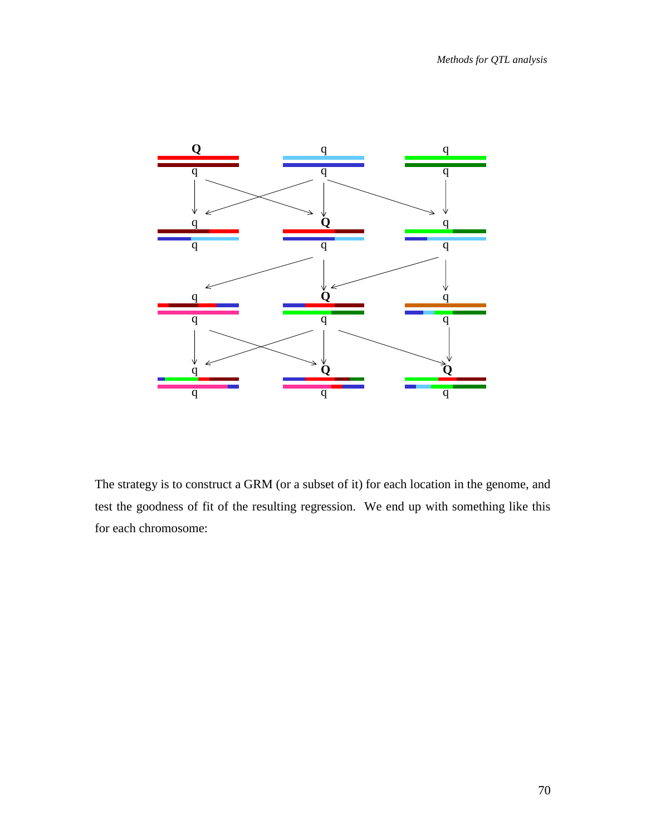![](_page_27_Figure_1.jpeg)

The strategy is to construct a GRM (or a subset of it) for each location in the genome, and test the goodness of fit of the resulting regression. We end up with something like this for each chromosome: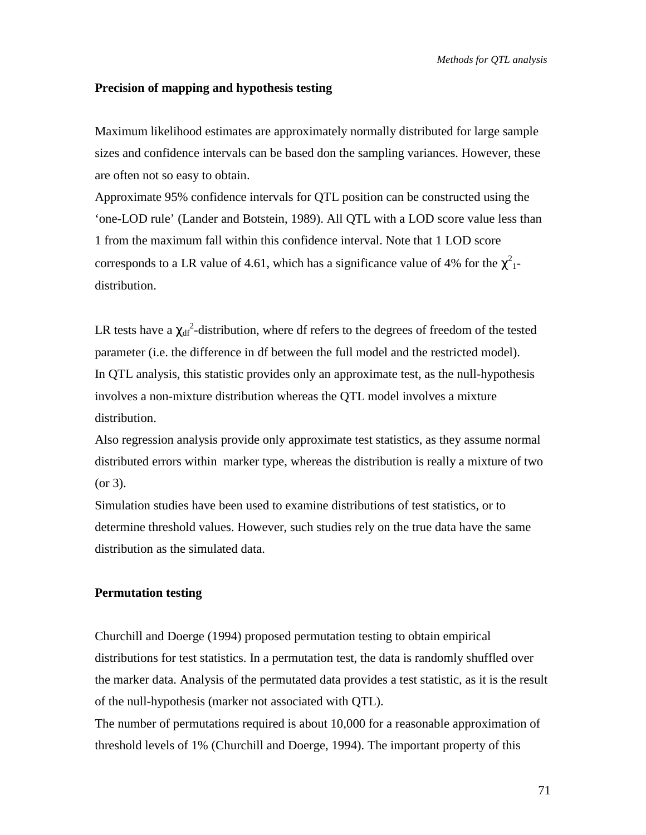#### <span id="page-28-0"></span>**Precision of mapping and hypothesis testing**

Maximum likelihood estimates are approximately normally distributed for large sample sizes and confidence intervals can be based don the sampling variances. However, these are often not so easy to obtain.

Approximate 95% confidence intervals for QTL position can be constructed using the 'one-LOD rule' (Lander and Botstein, 1989). All QTL with a LOD score value less than 1 from the maximum fall within this confidence interval. Note that 1 LOD score corresponds to a LR value of 4.61, which has a significance value of 4% for the  $\chi^2_{1}$ distribution.

LR tests have a  $\chi_{df}^2$ -distribution, where df refers to the degrees of freedom of the tested parameter (i.e. the difference in df between the full model and the restricted model). In QTL analysis, this statistic provides only an approximate test, as the null-hypothesis involves a non-mixture distribution whereas the QTL model involves a mixture distribution.

Also regression analysis provide only approximate test statistics, as they assume normal distributed errors within marker type, whereas the distribution is really a mixture of two (or 3).

Simulation studies have been used to examine distributions of test statistics, or to determine threshold values. However, such studies rely on the true data have the same distribution as the simulated data.

#### **Permutation testing**

Churchill and Doerge (1994) proposed permutation testing to obtain empirical distributions for test statistics. In a permutation test, the data is randomly shuffled over the marker data. Analysis of the permutated data provides a test statistic, as it is the result of the null-hypothesis (marker not associated with QTL).

The number of permutations required is about 10,000 for a reasonable approximation of threshold levels of 1% (Churchill and Doerge, 1994). The important property of this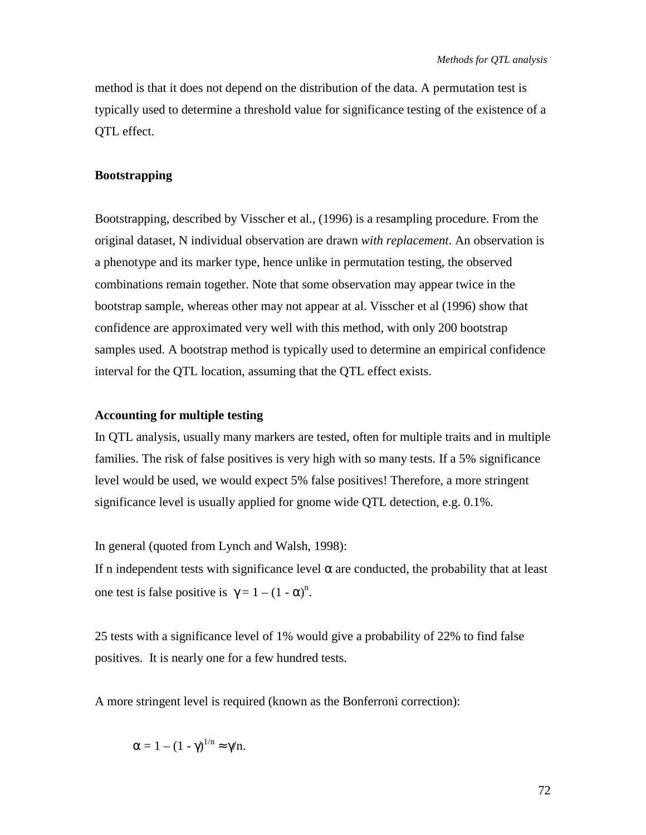<span id="page-29-0"></span>method is that it does not depend on the distribution of the data. A permutation test is typically used to determine a threshold value for significance testing of the existence of a QTL effect.

#### **Bootstrapping**

Bootstrapping, described by Visscher et al., (1996) is a resampling procedure. From the original dataset, N individual observation are drawn *with replacement*. An observation is a phenotype and its marker type, hence unlike in permutation testing, the observed combinations remain together. Note that some observation may appear twice in the bootstrap sample, whereas other may not appear at al. Visscher et al (1996) show that confidence are approximated very well with this method, with only 200 bootstrap samples used. A bootstrap method is typically used to determine an empirical confidence interval for the QTL location, assuming that the QTL effect exists.

#### **Accounting for multiple testing**

In QTL analysis, usually many markers are tested, often for multiple traits and in multiple families. The risk of false positives is very high with so many tests. If a 5% significance level would be used, we would expect 5% false positives! Therefore, a more stringent significance level is usually applied for gnome wide QTL detection, e.g. 0.1%.

In general (quoted from Lynch and Walsh, 1998):

If n independent tests with significance level  $\alpha$  are conducted, the probability that at least one test is false positive is  $\gamma = 1 - (1 - \alpha)^n$ .

25 tests with a significance level of 1% would give a probability of 22% to find false positives. It is nearly one for a few hundred tests.

A more stringent level is required (known as the Bonferroni correction):

$$
\alpha = 1 - (1 - \gamma)^{1/n} \approx \gamma/n.
$$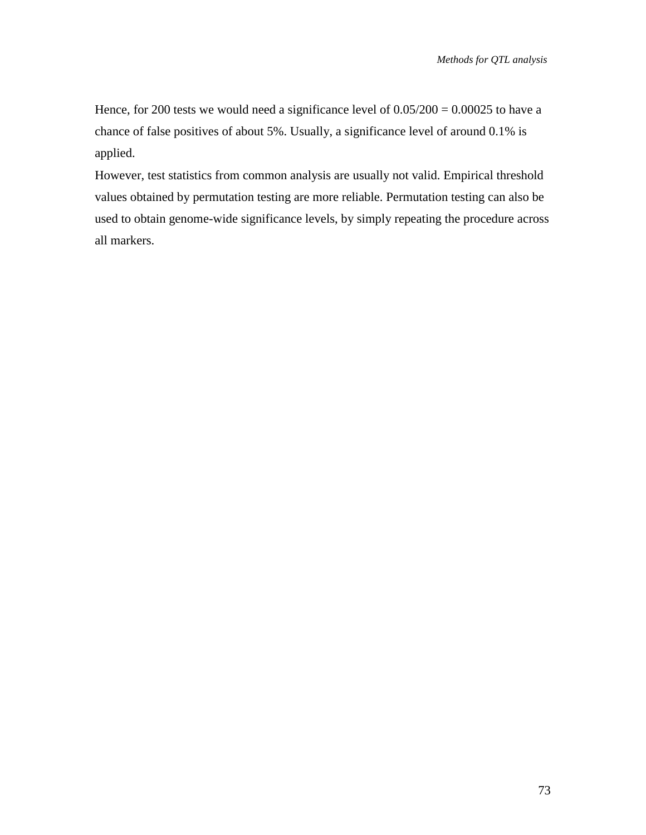Hence, for 200 tests we would need a significance level of  $0.05/200 = 0.00025$  to have a chance of false positives of about 5%. Usually, a significance level of around 0.1% is applied.

However, test statistics from common analysis are usually not valid. Empirical threshold values obtained by permutation testing are more reliable. Permutation testing can also be used to obtain genome-wide significance levels, by simply repeating the procedure across all markers.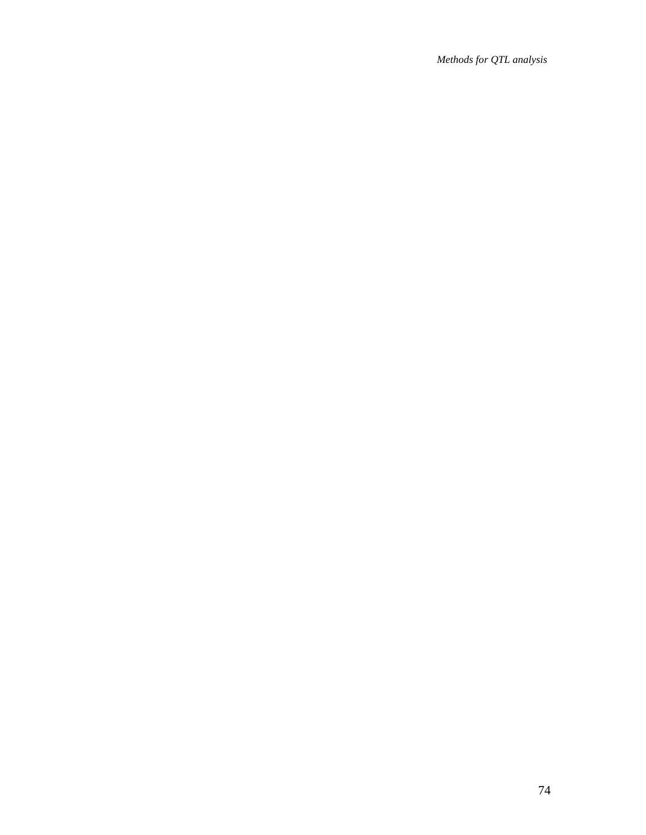*Methods for QTL analysis*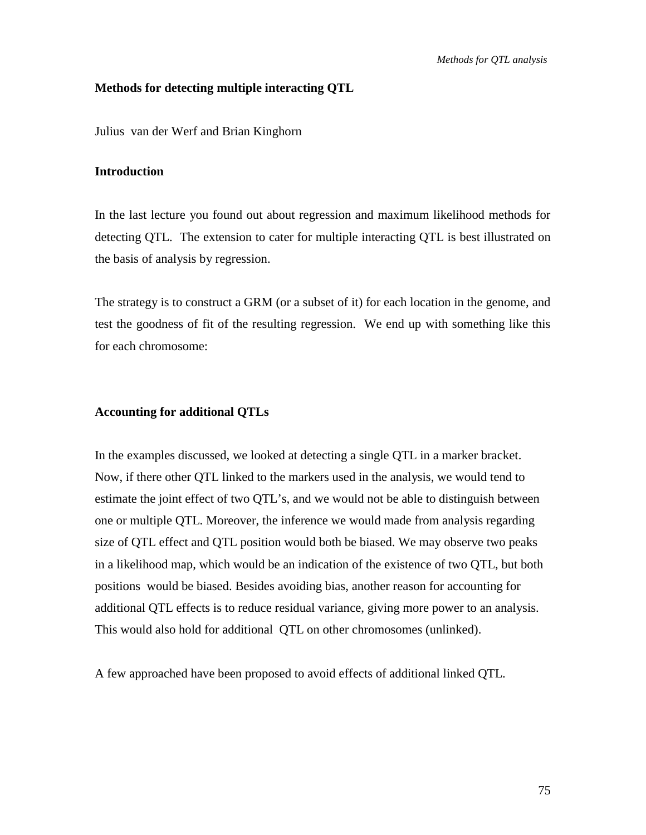#### <span id="page-32-0"></span>**Methods for detecting multiple interacting QTL**

Julius van der Werf and Brian Kinghorn

#### **Introduction**

In the last lecture you found out about regression and maximum likelihood methods for detecting QTL. The extension to cater for multiple interacting QTL is best illustrated on the basis of analysis by regression.

The strategy is to construct a GRM (or a subset of it) for each location in the genome, and test the goodness of fit of the resulting regression. We end up with something like this for each chromosome:

#### **Accounting for additional QTLs**

In the examples discussed, we looked at detecting a single QTL in a marker bracket. Now, if there other QTL linked to the markers used in the analysis, we would tend to estimate the joint effect of two QTL's, and we would not be able to distinguish between one or multiple QTL. Moreover, the inference we would made from analysis regarding size of QTL effect and QTL position would both be biased. We may observe two peaks in a likelihood map, which would be an indication of the existence of two QTL, but both positions would be biased. Besides avoiding bias, another reason for accounting for additional QTL effects is to reduce residual variance, giving more power to an analysis. This would also hold for additional QTL on other chromosomes (unlinked).

A few approached have been proposed to avoid effects of additional linked QTL.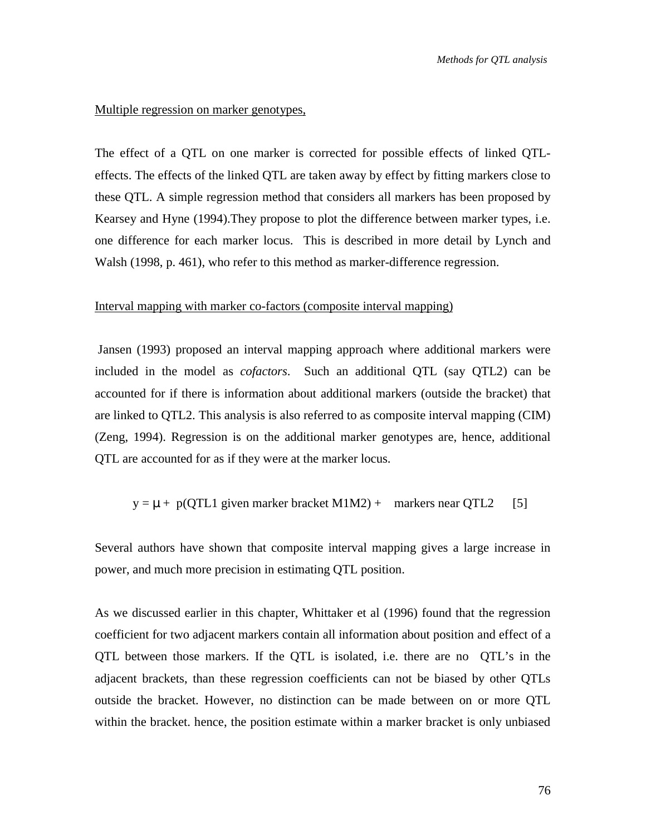#### <span id="page-33-0"></span>Multiple regression on marker genotypes,

The effect of a QTL on one marker is corrected for possible effects of linked QTLeffects. The effects of the linked QTL are taken away by effect by fitting markers close to these QTL. A simple regression method that considers all markers has been proposed by Kearsey and Hyne (1994).They propose to plot the difference between marker types, i.e. one difference for each marker locus. This is described in more detail by Lynch and Walsh (1998, p. 461), who refer to this method as marker-difference regression.

#### Interval mapping with marker co-factors (composite interval mapping)

 Jansen (1993) proposed an interval mapping approach where additional markers were included in the model as *cofactors*. Such an additional QTL (say QTL2) can be accounted for if there is information about additional markers (outside the bracket) that are linked to QTL2. This analysis is also referred to as composite interval mapping (CIM) (Zeng, 1994). Regression is on the additional marker genotypes are, hence, additional QTL are accounted for as if they were at the marker locus.

$$
y = \mu + p(QTL1)
$$
 given marker bracket M1M2) + markers near QTL2 [5]

Several authors have shown that composite interval mapping gives a large increase in power, and much more precision in estimating QTL position.

As we discussed earlier in this chapter, Whittaker et al (1996) found that the regression coefficient for two adjacent markers contain all information about position and effect of a QTL between those markers. If the QTL is isolated, i.e. there are no QTL's in the adjacent brackets, than these regression coefficients can not be biased by other QTLs outside the bracket. However, no distinction can be made between on or more QTL within the bracket. hence, the position estimate within a marker bracket is only unbiased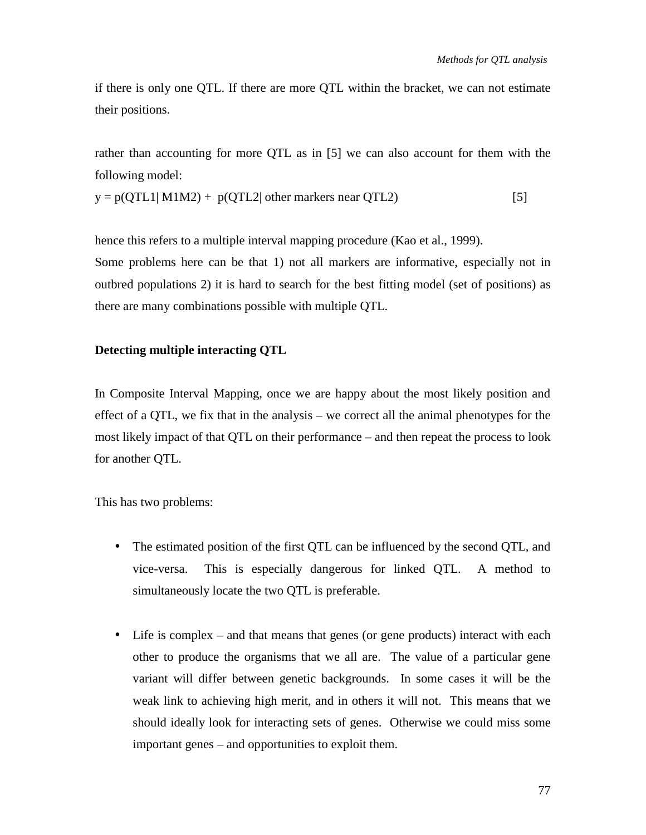<span id="page-34-0"></span>if there is only one QTL. If there are more QTL within the bracket, we can not estimate their positions.

rather than accounting for more QTL as in [5] we can also account for them with the following model:

$$
y = p(QTL1 | M1M2) + p(QTL2 | other markers near QTL2)
$$
 [5]

hence this refers to a multiple interval mapping procedure (Kao et al., 1999).

Some problems here can be that 1) not all markers are informative, especially not in outbred populations 2) it is hard to search for the best fitting model (set of positions) as there are many combinations possible with multiple QTL.

#### **Detecting multiple interacting QTL**

In Composite Interval Mapping, once we are happy about the most likely position and effect of a QTL, we fix that in the analysis – we correct all the animal phenotypes for the most likely impact of that QTL on their performance – and then repeat the process to look for another QTL.

This has two problems:

- The estimated position of the first QTL can be influenced by the second QTL, and vice-versa. This is especially dangerous for linked QTL. A method to simultaneously locate the two QTL is preferable.
- Life is complex and that means that genes (or gene products) interact with each other to produce the organisms that we all are. The value of a particular gene variant will differ between genetic backgrounds. In some cases it will be the weak link to achieving high merit, and in others it will not. This means that we should ideally look for interacting sets of genes. Otherwise we could miss some important genes – and opportunities to exploit them.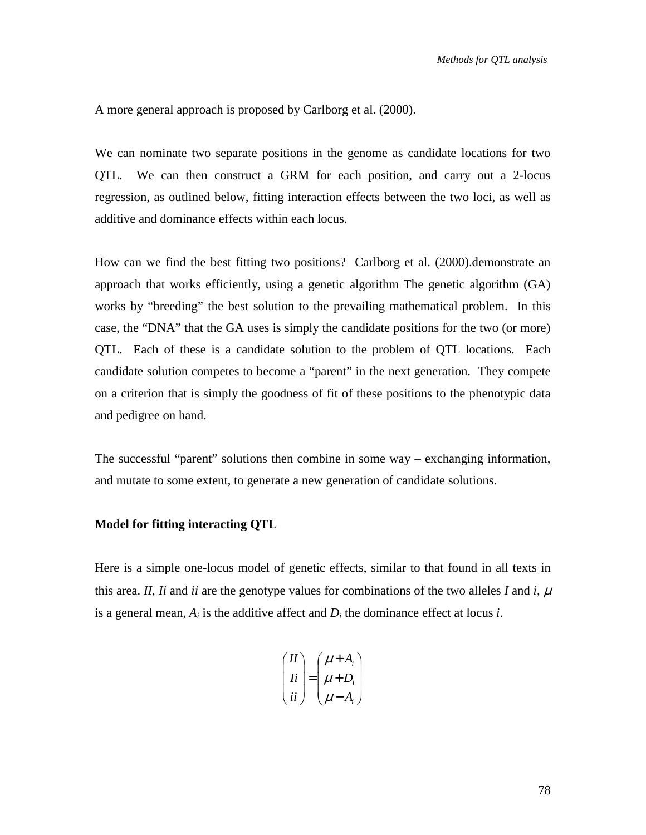<span id="page-35-0"></span>A more general approach is proposed by Carlborg et al. (2000).

We can nominate two separate positions in the genome as candidate locations for two QTL. We can then construct a GRM for each position, and carry out a 2-locus regression, as outlined below, fitting interaction effects between the two loci, as well as additive and dominance effects within each locus.

How can we find the best fitting two positions? Carlborg et al. (2000).demonstrate an approach that works efficiently, using a genetic algorithm The genetic algorithm (GA) works by "breeding" the best solution to the prevailing mathematical problem. In this case, the "DNA" that the GA uses is simply the candidate positions for the two (or more) QTL. Each of these is a candidate solution to the problem of QTL locations. Each candidate solution competes to become a "parent" in the next generation. They compete on a criterion that is simply the goodness of fit of these positions to the phenotypic data and pedigree on hand.

The successful "parent" solutions then combine in some way – exchanging information, and mutate to some extent, to generate a new generation of candidate solutions.

#### **Model for fitting interacting QTL**

Here is a simple one-locus model of genetic effects, similar to that found in all texts in this area. *II*, *Ii* and *ii* are the genotype values for combinations of the two alleles *I* and *i*,  $\mu$ is a general mean,  $A_i$  is the additive affect and  $D_i$  the dominance effect at locus *i*.

$$
\begin{pmatrix}\nH \\
I_i \\
ii\n\end{pmatrix} = \begin{pmatrix}\n\mu + A_i \\
\mu + D_i \\
\mu - A_i\n\end{pmatrix}
$$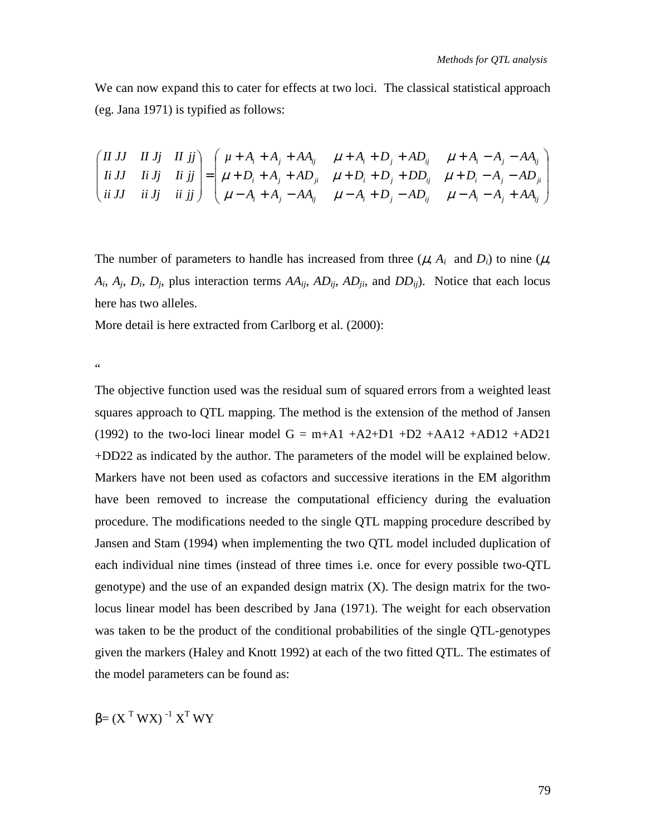We can now expand this to cater for effects at two loci. The classical statistical approach (eg. Jana 1971) is typified as follows:

$$
\begin{pmatrix}\nII JJ & II Jj & II jj \\
I i JJ & I i Jj & I i jj \\
i i JJ & i i Jj & i i j j\n\end{pmatrix} =\n\begin{pmatrix}\n\mu + A_i + A_j + A A_{ij} & \mu + A_i + D_j + A D_{ij} & \mu + A_i - A_j - A A_{ij} \\
\mu + D_i + A_j + A D_{ji} & \mu + D_i + D_j + D D_{ij} & \mu + D_i - A_j - A D_{ji} \\
\mu - A_i + A_j - A A_{ij} & \mu - A_i + D_j - A D_{ij} & \mu - A_i - A_j + A A_{ij}\n\end{pmatrix}
$$

The number of parameters to handle has increased from three  $(\mu, A_i \text{ and } D_i)$  to nine  $(\mu, A_i \text{ and } D_i)$  $A_i$ ,  $A_j$ ,  $D_i$ ,  $D_j$ , plus interaction terms  $AA_{ij}$ ,  $AD_{ij}$ ,  $AD_{ji}$ , and  $DD_{ij}$ ). Notice that each locus here has two alleles.

More detail is here extracted from Carlborg et al. (2000):

"

The objective function used was the residual sum of squared errors from a weighted least squares approach to QTL mapping. The method is the extension of the method of Jansen (1992) to the two-loci linear model  $G = m+A1 + A2+D1 +D2 + AA12 + AD12 + AD21$ +DD22 as indicated by the author. The parameters of the model will be explained below. Markers have not been used as cofactors and successive iterations in the EM algorithm have been removed to increase the computational efficiency during the evaluation procedure. The modifications needed to the single QTL mapping procedure described by Jansen and Stam (1994) when implementing the two QTL model included duplication of each individual nine times (instead of three times i.e. once for every possible two-QTL genotype) and the use of an expanded design matrix  $(X)$ . The design matrix for the twolocus linear model has been described by Jana (1971). The weight for each observation was taken to be the product of the conditional probabilities of the single QTL-genotypes given the markers (Haley and Knott 1992) at each of the two fitted QTL. The estimates of the model parameters can be found as:

 $\beta = (X^T W X)^{-1} X^T W Y$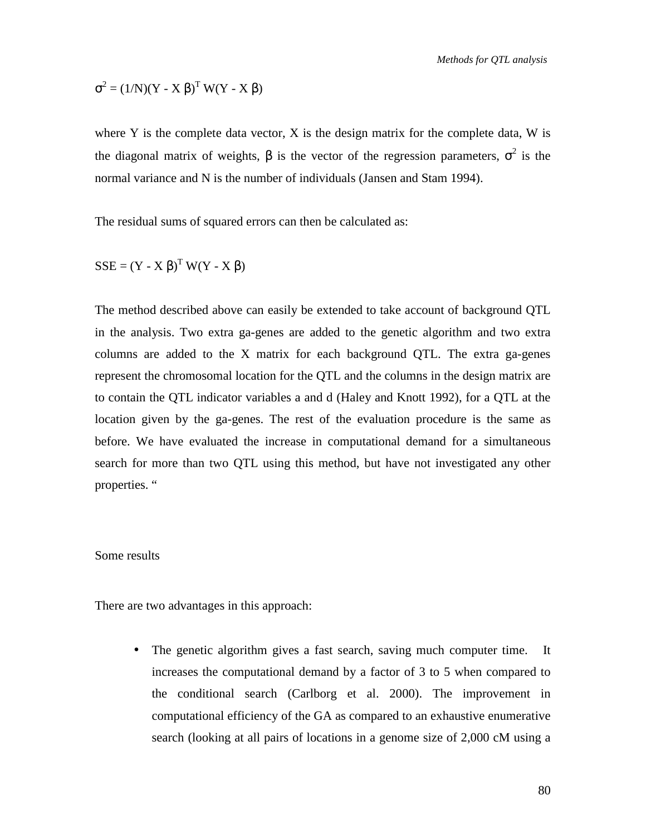$$
\sigma^2 = (1/N)(Y - X \beta)^T W(Y - X \beta)
$$

where Y is the complete data vector, X is the design matrix for the complete data, W is the diagonal matrix of weights,  $\beta$  is the vector of the regression parameters,  $\sigma^2$  is the normal variance and N is the number of individuals (Jansen and Stam 1994).

The residual sums of squared errors can then be calculated as:

$$
SSE = (Y - X \beta)^{T} W(Y - X \beta)
$$

The method described above can easily be extended to take account of background QTL in the analysis. Two extra ga-genes are added to the genetic algorithm and two extra columns are added to the X matrix for each background QTL. The extra ga-genes represent the chromosomal location for the QTL and the columns in the design matrix are to contain the QTL indicator variables a and d (Haley and Knott 1992), for a QTL at the location given by the ga-genes. The rest of the evaluation procedure is the same as before. We have evaluated the increase in computational demand for a simultaneous search for more than two QTL using this method, but have not investigated any other properties. "

#### Some results

There are two advantages in this approach:

• The genetic algorithm gives a fast search, saving much computer time. It increases the computational demand by a factor of 3 to 5 when compared to the conditional search (Carlborg et al. 2000). The improvement in computational efficiency of the GA as compared to an exhaustive enumerative search (looking at all pairs of locations in a genome size of 2,000 cM using a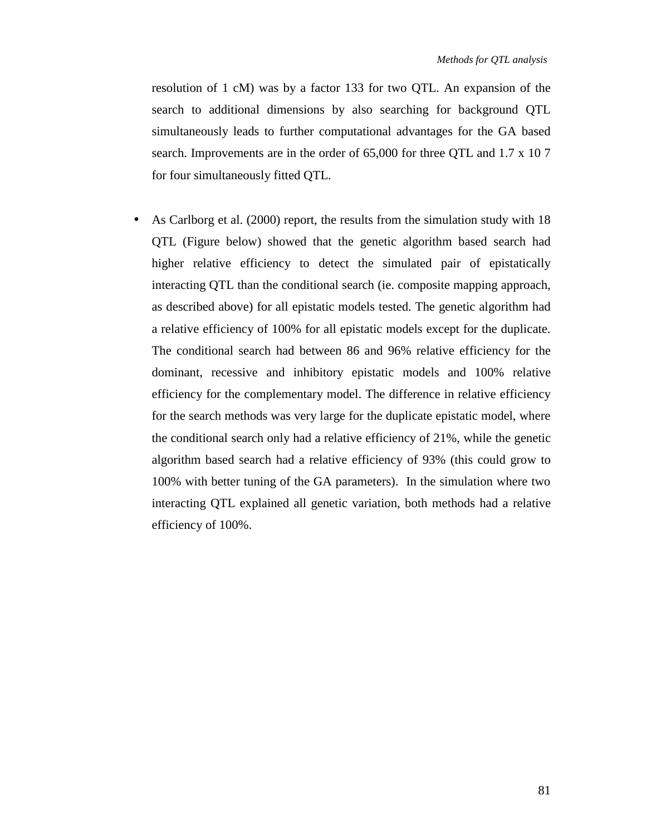resolution of 1 cM) was by a factor 133 for two QTL. An expansion of the search to additional dimensions by also searching for background QTL simultaneously leads to further computational advantages for the GA based search. Improvements are in the order of 65,000 for three QTL and 1.7 x 10 7 for four simultaneously fitted QTL.

As Carlborg et al. (2000) report, the results from the simulation study with 18 QTL (Figure below) showed that the genetic algorithm based search had higher relative efficiency to detect the simulated pair of epistatically interacting QTL than the conditional search (ie. composite mapping approach, as described above) for all epistatic models tested. The genetic algorithm had a relative efficiency of 100% for all epistatic models except for the duplicate. The conditional search had between 86 and 96% relative efficiency for the dominant, recessive and inhibitory epistatic models and 100% relative efficiency for the complementary model. The difference in relative efficiency for the search methods was very large for the duplicate epistatic model, where the conditional search only had a relative efficiency of 21%, while the genetic algorithm based search had a relative efficiency of 93% (this could grow to 100% with better tuning of the GA parameters). In the simulation where two interacting QTL explained all genetic variation, both methods had a relative efficiency of 100%.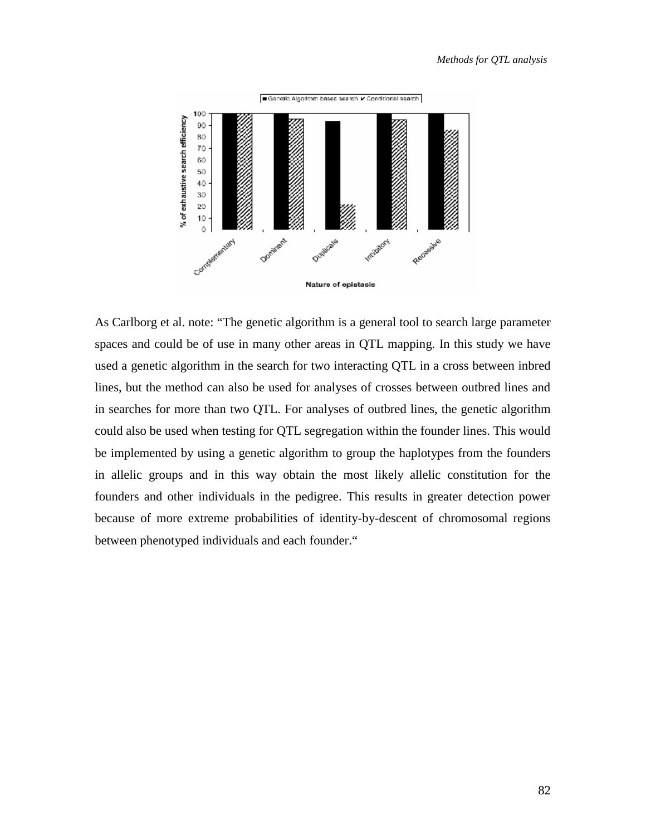![](_page_39_Figure_1.jpeg)

As Carlborg et al. note: "The genetic algorithm is a general tool to search large parameter spaces and could be of use in many other areas in QTL mapping. In this study we have used a genetic algorithm in the search for two interacting QTL in a cross between inbred lines, but the method can also be used for analyses of crosses between outbred lines and in searches for more than two QTL. For analyses of outbred lines, the genetic algorithm could also be used when testing for QTL segregation within the founder lines. This would be implemented by using a genetic algorithm to group the haplotypes from the founders in allelic groups and in this way obtain the most likely allelic constitution for the founders and other individuals in the pedigree. This results in greater detection power because of more extreme probabilities of identity-by-descent of chromosomal regions between phenotyped individuals and each founder."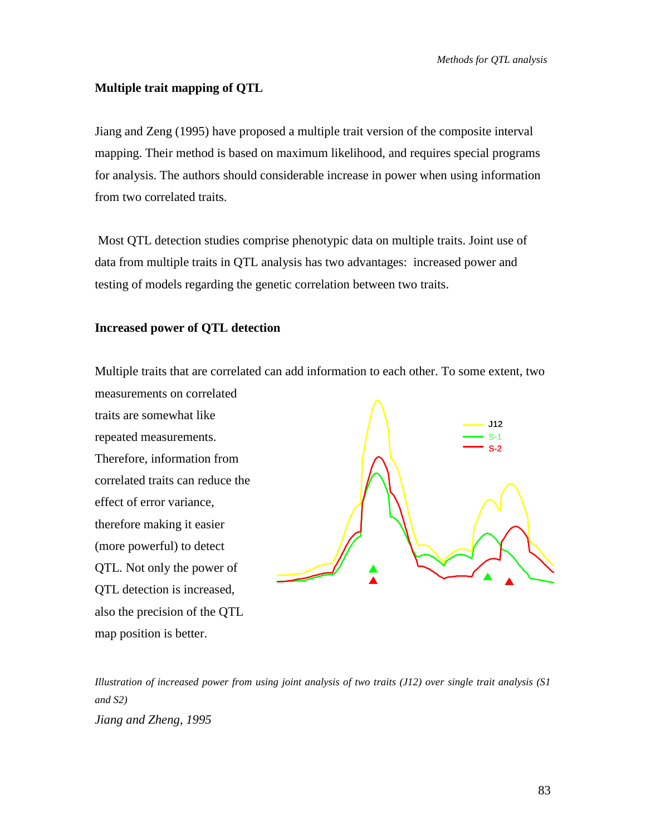#### <span id="page-40-0"></span>**Multiple trait mapping of QTL**

Jiang and Zeng (1995) have proposed a multiple trait version of the composite interval mapping. Their method is based on maximum likelihood, and requires special programs for analysis. The authors should considerable increase in power when using information from two correlated traits.

 Most QTL detection studies comprise phenotypic data on multiple traits. Joint use of data from multiple traits in QTL analysis has two advantages: increased power and testing of models regarding the genetic correlation between two traits.

#### **Increased power of QTL detection**

Multiple traits that are correlated can add information to each other. To some extent, two measurements on correlated

traits are somewhat like repeated measurements. Therefore, information from correlated traits can reduce the effect of error variance, therefore making it easier (more powerful) to detect QTL. Not only the power of QTL detection is increased, also the precision of the QTL map position is better.

![](_page_40_Figure_7.jpeg)

*Illustration of increased power from using joint analysis of two traits (J12) over single trait analysis (S1 and S2)* 

*Jiang and Zheng, 1995*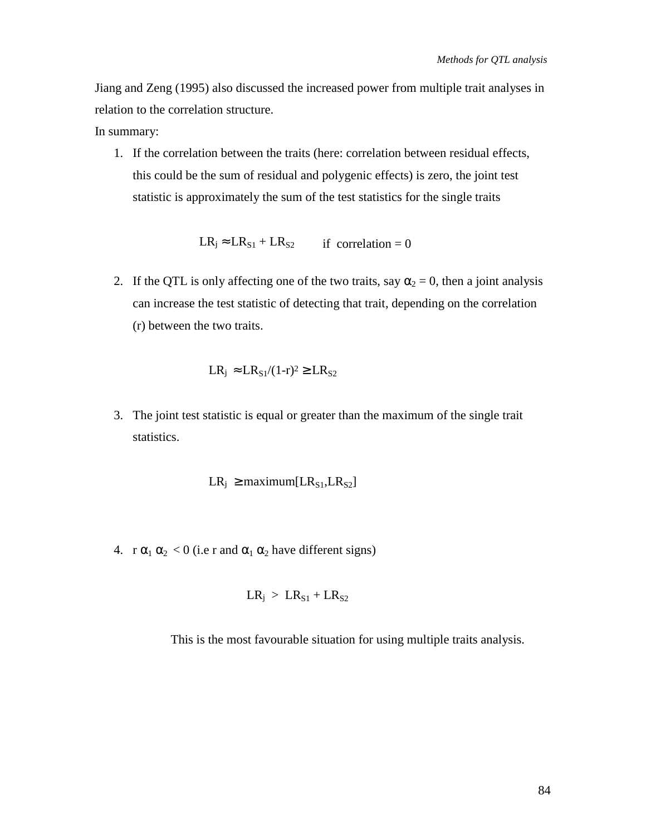Jiang and Zeng (1995) also discussed the increased power from multiple trait analyses in relation to the correlation structure.

In summary:

1. If the correlation between the traits (here: correlation between residual effects, this could be the sum of residual and polygenic effects) is zero, the joint test statistic is approximately the sum of the test statistics for the single traits

 $LR_i \approx LR_{S1} + LR_{S2}$  if correlation = 0

2. If the QTL is only affecting one of the two traits, say  $\alpha_2 = 0$ , then a joint analysis can increase the test statistic of detecting that trait, depending on the correlation (r) between the two traits.

$$
LR_j \approx LR_{S1}/(1-r)^2 \ge LR_{S2}
$$

3. The joint test statistic is equal or greater than the maximum of the single trait statistics.

$$
LR_j \geq maximum[LR_{S1},LR_{S2}]
$$

4. r  $\alpha_1 \alpha_2 < 0$  (i.e r and  $\alpha_1 \alpha_2$  have different signs)

$$
LR_j \, > \, LR_{S1} + LR_{S2}
$$

This is the most favourable situation for using multiple traits analysis.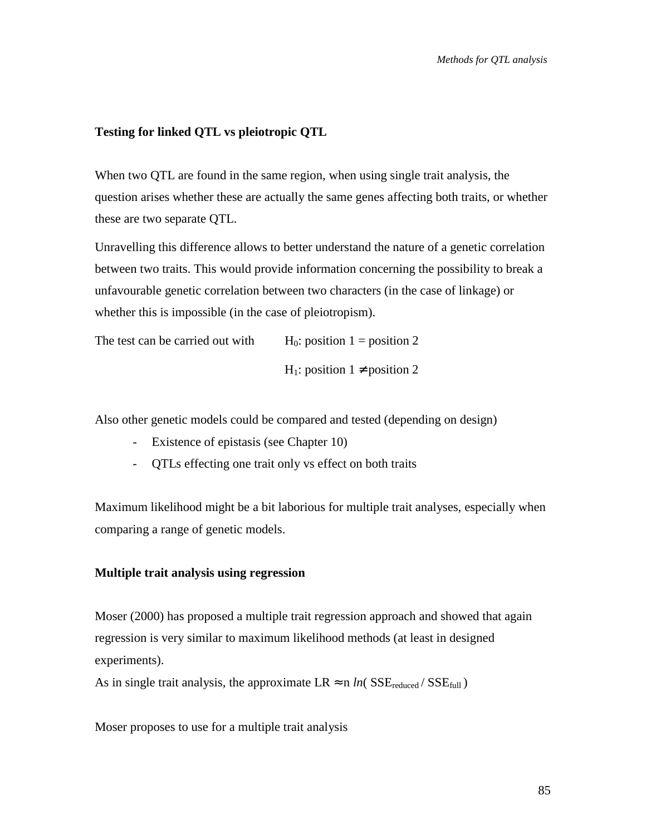#### <span id="page-42-0"></span>**Testing for linked QTL vs pleiotropic QTL**

When two QTL are found in the same region, when using single trait analysis, the question arises whether these are actually the same genes affecting both traits, or whether these are two separate QTL.

Unravelling this difference allows to better understand the nature of a genetic correlation between two traits. This would provide information concerning the possibility to break a unfavourable genetic correlation between two characters (in the case of linkage) or whether this is impossible (in the case of pleiotropism).

The test can be carried out with  $H_0$ : position 1 = position 2

H<sub>1</sub>: position  $1 \neq$  position 2

Also other genetic models could be compared and tested (depending on design)

- Existence of epistasis (see Chapter 10)
- QTLs effecting one trait only vs effect on both traits

Maximum likelihood might be a bit laborious for multiple trait analyses, especially when comparing a range of genetic models.

#### **Multiple trait analysis using regression**

Moser (2000) has proposed a multiple trait regression approach and showed that again regression is very similar to maximum likelihood methods (at least in designed experiments).

As in single trait analysis, the approximate  $LR \approx n \ln(SSE_{reduced} / SSE_{full})$ 

Moser proposes to use for a multiple trait analysis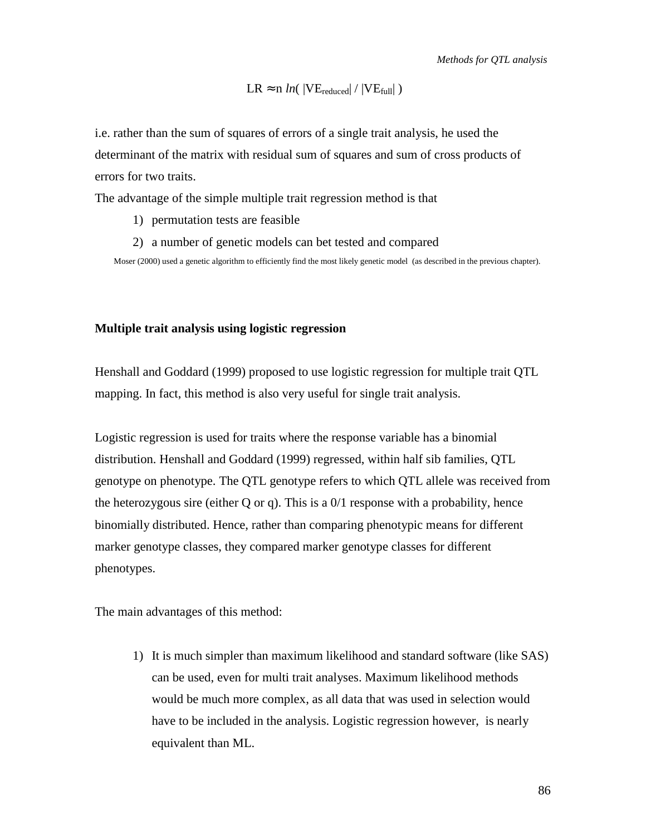$$
LR \approx n \ln(\left|VE_{reduced}\right| / \left|VE_{full}\right|)
$$

<span id="page-43-0"></span>i.e. rather than the sum of squares of errors of a single trait analysis, he used the determinant of the matrix with residual sum of squares and sum of cross products of errors for two traits.

The advantage of the simple multiple trait regression method is that

1) permutation tests are feasible

2) a number of genetic models can bet tested and compared

Moser (2000) used a genetic algorithm to efficiently find the most likely genetic model (as described in the previous chapter).

#### **Multiple trait analysis using logistic regression**

Henshall and Goddard (1999) proposed to use logistic regression for multiple trait QTL mapping. In fact, this method is also very useful for single trait analysis.

Logistic regression is used for traits where the response variable has a binomial distribution. Henshall and Goddard (1999) regressed, within half sib families, QTL genotype on phenotype. The QTL genotype refers to which QTL allele was received from the heterozygous sire (either Q or q). This is a  $0/1$  response with a probability, hence binomially distributed. Hence, rather than comparing phenotypic means for different marker genotype classes, they compared marker genotype classes for different phenotypes.

The main advantages of this method:

1) It is much simpler than maximum likelihood and standard software (like SAS) can be used, even for multi trait analyses. Maximum likelihood methods would be much more complex, as all data that was used in selection would have to be included in the analysis. Logistic regression however, is nearly equivalent than ML.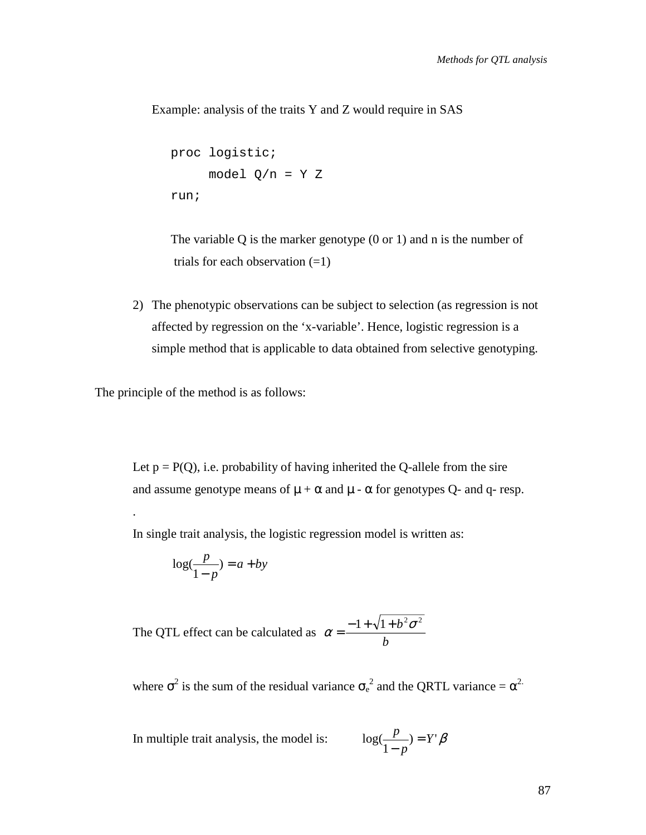Example: analysis of the traits Y and Z would require in SAS

```
proc logistic;
     model Q/n = Y Zrun;
```
The variable Q is the marker genotype  $(0 \text{ or } 1)$  and n is the number of trials for each observation  $(=1)$ 

2) The phenotypic observations can be subject to selection (as regression is not affected by regression on the 'x-variable'. Hence, logistic regression is a simple method that is applicable to data obtained from selective genotyping.

The principle of the method is as follows:

.

Let  $p = P(Q)$ , i.e. probability of having inherited the Q-allele from the sire and assume genotype means of  $\mu + \alpha$  and  $\mu - \alpha$  for genotypes Q- and q- resp.

In single trait analysis, the logistic regression model is written as:

$$
\log(\frac{p}{1-p}) = a + by
$$

The QTL effect can be calculated as  $\alpha = \frac{1 + \sqrt{1}}{b}$  $\alpha = \frac{-1 + \sqrt{1 + b^2 \sigma^2}}{1}$ 

where  $\sigma^2$  is the sum of the residual variance  $\sigma_e^2$  and the QRTL variance =  $\alpha^2$ .

In multiple trait analysis, the model is:

$$
\log(\frac{p}{1-p}) = Y'\beta
$$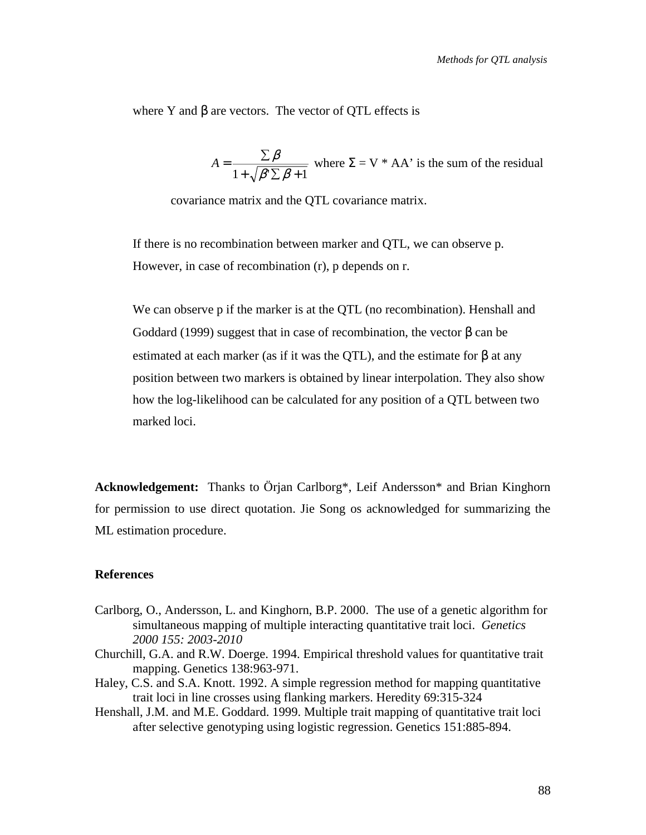<span id="page-45-0"></span>where Y and  $\beta$  are vectors. The vector of QTL effects is

$$
A = \frac{\sum \beta}{1 + \sqrt{\beta' \sum \beta + 1}}
$$
 where  $\Sigma = V^*$  AA' is the sum of the residual

covariance matrix and the QTL covariance matrix.

If there is no recombination between marker and QTL, we can observe p. However, in case of recombination (r), p depends on r.

We can observe p if the marker is at the QTL (no recombination). Henshall and Goddard (1999) suggest that in case of recombination, the vector  $\beta$  can be estimated at each marker (as if it was the QTL), and the estimate for  $\beta$  at any position between two markers is obtained by linear interpolation. They also show how the log-likelihood can be calculated for any position of a QTL between two marked loci.

**Acknowledgement:** Thanks to Örjan Carlborg\*, Leif Andersson\* and Brian Kinghorn for permission to use direct quotation. Jie Song os acknowledged for summarizing the ML estimation procedure.

#### **References**

- Carlborg, O., Andersson, L. and Kinghorn, B.P. 2000. The use of a genetic algorithm for simultaneous mapping of multiple interacting quantitative trait loci. *Genetics 2000 155: 2003-2010*
- Churchill, G.A. and R.W. Doerge. 1994. Empirical threshold values for quantitative trait mapping. Genetics 138:963-971.
- Haley, C.S. and S.A. Knott. 1992. A simple regression method for mapping quantitative trait loci in line crosses using flanking markers. Heredity 69:315-324
- Henshall, J.M. and M.E. Goddard. 1999. Multiple trait mapping of quantitative trait loci after selective genotyping using logistic regression. Genetics 151:885-894.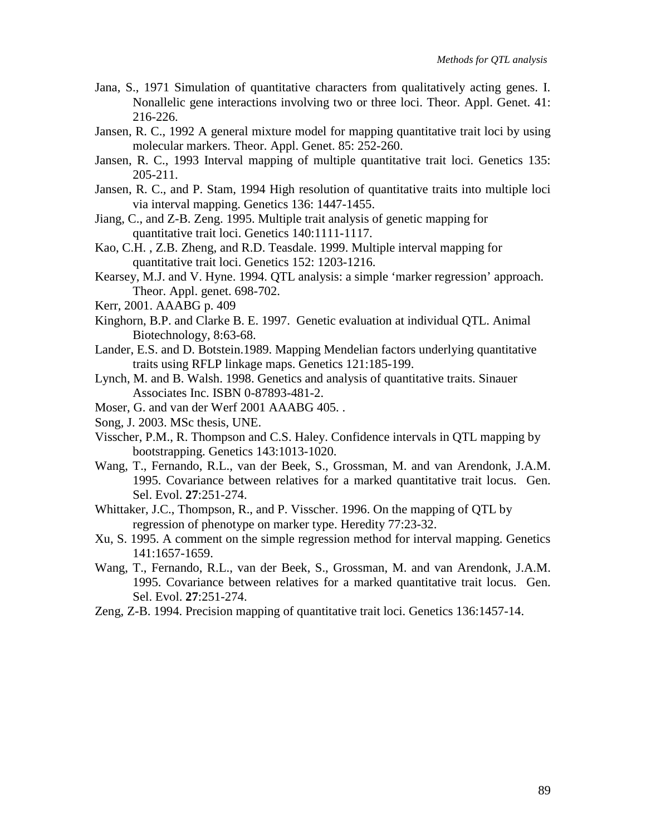- Jana, S., 1971 Simulation of quantitative characters from qualitatively acting genes. I. Nonallelic gene interactions involving two or three loci. Theor. Appl. Genet. 41: 216-226.
- Jansen, R. C., 1992 A general mixture model for mapping quantitative trait loci by using molecular markers. Theor. Appl. Genet. 85: 252-260.
- Jansen, R. C., 1993 Interval mapping of multiple quantitative trait loci. Genetics 135: 205-211.
- Jansen, R. C., and P. Stam, 1994 High resolution of quantitative traits into multiple loci via interval mapping. Genetics 136: 1447-1455.
- Jiang, C., and Z-B. Zeng. 1995. Multiple trait analysis of genetic mapping for quantitative trait loci. Genetics 140:1111-1117.
- Kao, C.H. , Z.B. Zheng, and R.D. Teasdale. 1999. Multiple interval mapping for quantitative trait loci. Genetics 152: 1203-1216.
- Kearsey, M.J. and V. Hyne. 1994. QTL analysis: a simple 'marker regression' approach. Theor. Appl. genet. 698-702.
- Kerr, 2001. AAABG p. 409
- Kinghorn, B.P. and Clarke B. E. 1997. Genetic evaluation at individual QTL. Animal Biotechnology, 8:63-68.
- Lander, E.S. and D. Botstein.1989. Mapping Mendelian factors underlying quantitative traits using RFLP linkage maps. Genetics 121:185-199.
- Lynch, M. and B. Walsh. 1998. Genetics and analysis of quantitative traits. Sinauer Associates Inc. ISBN 0-87893-481-2.
- Moser, G. and van der Werf 2001 AAABG 405. .
- Song, J. 2003. MSc thesis, UNE.
- Visscher, P.M., R. Thompson and C.S. Haley. Confidence intervals in QTL mapping by bootstrapping. Genetics 143:1013-1020.
- Wang, T., Fernando, R.L., van der Beek, S., Grossman, M. and van Arendonk, J.A.M. 1995. Covariance between relatives for a marked quantitative trait locus. Gen. Sel. Evol. **27**:251-274.
- Whittaker, J.C., Thompson, R., and P. Visscher. 1996. On the mapping of QTL by regression of phenotype on marker type. Heredity 77:23-32.
- Xu, S. 1995. A comment on the simple regression method for interval mapping. Genetics 141:1657-1659.
- Wang, T., Fernando, R.L., van der Beek, S., Grossman, M. and van Arendonk, J.A.M. 1995. Covariance between relatives for a marked quantitative trait locus. Gen. Sel. Evol. **27**:251-274.
- Zeng, Z-B. 1994. Precision mapping of quantitative trait loci. Genetics 136:1457-14.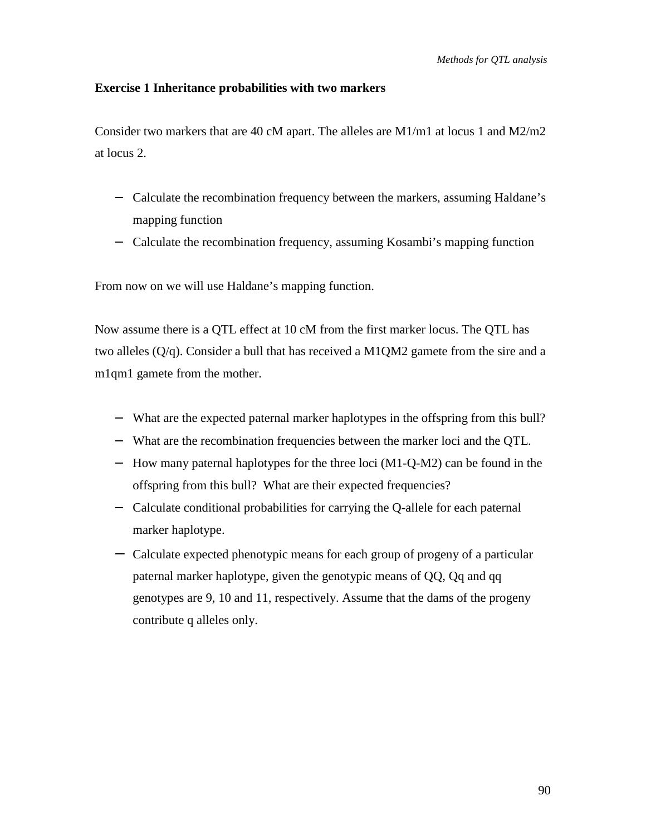#### <span id="page-47-0"></span>**Exercise 1 Inheritance probabilities with two markers**

Consider two markers that are 40 cM apart. The alleles are M1/m1 at locus 1 and M2/m2 at locus 2.

- − Calculate the recombination frequency between the markers, assuming Haldane's mapping function
- − Calculate the recombination frequency, assuming Kosambi's mapping function

From now on we will use Haldane's mapping function.

Now assume there is a QTL effect at 10 cM from the first marker locus. The QTL has two alleles (Q/q). Consider a bull that has received a M1QM2 gamete from the sire and a m1qm1 gamete from the mother.

- − What are the expected paternal marker haplotypes in the offspring from this bull?
- − What are the recombination frequencies between the marker loci and the QTL.
- − How many paternal haplotypes for the three loci (M1-Q-M2) can be found in the offspring from this bull? What are their expected frequencies?
- − Calculate conditional probabilities for carrying the Q-allele for each paternal marker haplotype.
- − Calculate expected phenotypic means for each group of progeny of a particular paternal marker haplotype, given the genotypic means of QQ, Qq and qq genotypes are 9, 10 and 11, respectively. Assume that the dams of the progeny contribute q alleles only.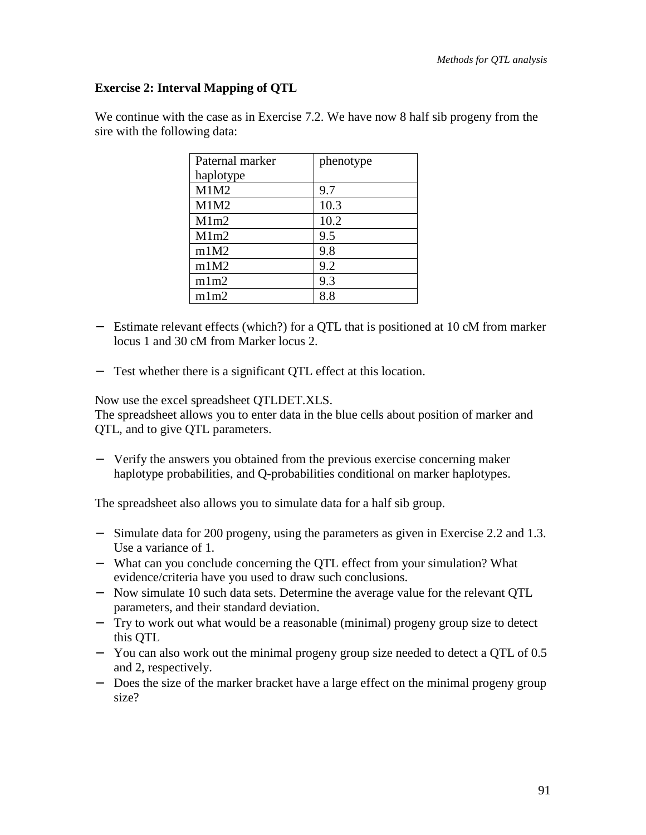#### <span id="page-48-0"></span>**Exercise 2: Interval Mapping of QTL**

We continue with the case as in Exercise 7.2. We have now 8 half sib progeny from the sire with the following data:

| Paternal marker | phenotype |
|-----------------|-----------|
| haplotype       |           |
| M1M2            | 9.7       |
| M1M2            | 10.3      |
| M1m2            | 10.2      |
| M1m2            | 9.5       |
| m1M2            | 9.8       |
| m1M2            | 9.2       |
| m1m2            | 9.3       |
| m1m2            | 88        |

- − Estimate relevant effects (which?) for a QTL that is positioned at 10 cM from marker locus 1 and 30 cM from Marker locus 2.
- − Test whether there is a significant QTL effect at this location.

Now use the excel spreadsheet QTLDET.XLS.

The spreadsheet allows you to enter data in the blue cells about position of marker and QTL, and to give QTL parameters.

− Verify the answers you obtained from the previous exercise concerning maker haplotype probabilities, and Q-probabilities conditional on marker haplotypes.

The spreadsheet also allows you to simulate data for a half sib group.

- − Simulate data for 200 progeny, using the parameters as given in Exercise 2.2 and 1.3. Use a variance of 1.
- − What can you conclude concerning the QTL effect from your simulation? What evidence/criteria have you used to draw such conclusions.
- − Now simulate 10 such data sets. Determine the average value for the relevant QTL parameters, and their standard deviation.
- − Try to work out what would be a reasonable (minimal) progeny group size to detect this QTL
- − You can also work out the minimal progeny group size needed to detect a QTL of 0.5 and 2, respectively.
- − Does the size of the marker bracket have a large effect on the minimal progeny group size?